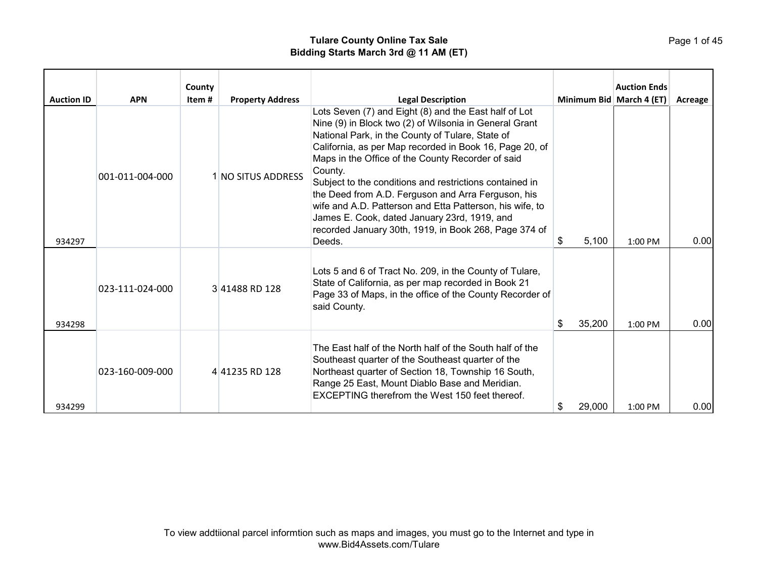|                   |                 | County |                         |                                                                                                                                                                                                                                                                                                                                                                                                                                                                                                                                                                                                |                          | <b>Auction Ends</b> |         |
|-------------------|-----------------|--------|-------------------------|------------------------------------------------------------------------------------------------------------------------------------------------------------------------------------------------------------------------------------------------------------------------------------------------------------------------------------------------------------------------------------------------------------------------------------------------------------------------------------------------------------------------------------------------------------------------------------------------|--------------------------|---------------------|---------|
| <b>Auction ID</b> | <b>APN</b>      | Item # | <b>Property Address</b> | <b>Legal Description</b>                                                                                                                                                                                                                                                                                                                                                                                                                                                                                                                                                                       | Minimum Bid March 4 (ET) |                     | Acreage |
| 934297            | 001-011-004-000 |        | 1 NO SITUS ADDRESS      | Lots Seven (7) and Eight (8) and the East half of Lot<br>Nine (9) in Block two (2) of Wilsonia in General Grant<br>National Park, in the County of Tulare, State of<br>California, as per Map recorded in Book 16, Page 20, of<br>Maps in the Office of the County Recorder of said<br>County.<br>Subject to the conditions and restrictions contained in<br>the Deed from A.D. Ferguson and Arra Ferguson, his<br>wife and A.D. Patterson and Etta Patterson, his wife, to<br>James E. Cook, dated January 23rd, 1919, and<br>recorded January 30th, 1919, in Book 268, Page 374 of<br>Deeds. | 5,100<br>\$.             | $1:00$ PM           | 0.00    |
| 934298            | 023-111-024-000 |        | 341488 RD 128           | Lots 5 and 6 of Tract No. 209, in the County of Tulare,<br>State of California, as per map recorded in Book 21<br>Page 33 of Maps, in the office of the County Recorder of<br>said County.                                                                                                                                                                                                                                                                                                                                                                                                     | 35,200                   | $1:00$ PM           | 0.00    |
| 934299            | 023-160-009-000 |        | 441235 RD 128           | The East half of the North half of the South half of the<br>Southeast quarter of the Southeast quarter of the<br>Northeast quarter of Section 18, Township 16 South,<br>Range 25 East, Mount Diablo Base and Meridian.<br>EXCEPTING therefrom the West 150 feet thereof.                                                                                                                                                                                                                                                                                                                       | 29,000                   | 1:00 PM             | 0.00    |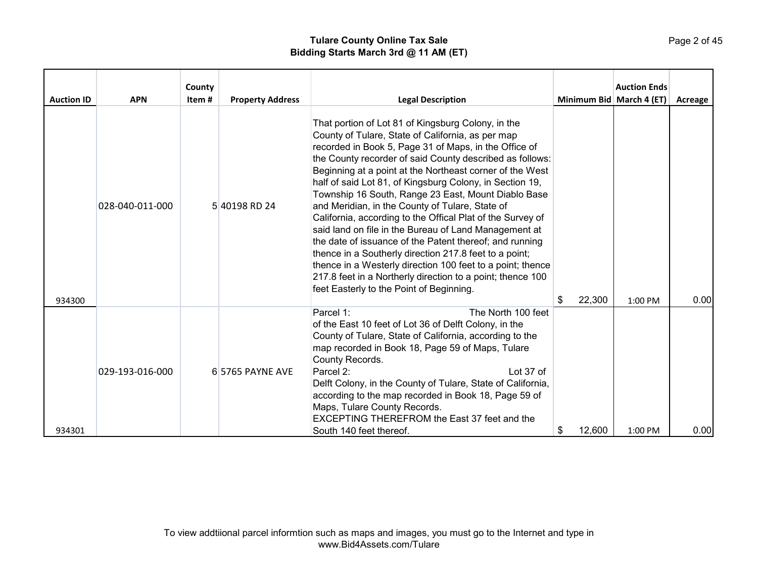| <b>Auction ID</b> | <b>APN</b>      | County<br>Item # | <b>Property Address</b> | <b>Legal Description</b>                                                                                                                                                                                                                                                                                                                                                                                                                                                                                                                                                                                                                                                                                                                                                                                                                                                           | Minimum Bid March 4 (ET) | <b>Auction Ends</b> | Acreage |
|-------------------|-----------------|------------------|-------------------------|------------------------------------------------------------------------------------------------------------------------------------------------------------------------------------------------------------------------------------------------------------------------------------------------------------------------------------------------------------------------------------------------------------------------------------------------------------------------------------------------------------------------------------------------------------------------------------------------------------------------------------------------------------------------------------------------------------------------------------------------------------------------------------------------------------------------------------------------------------------------------------|--------------------------|---------------------|---------|
| 934300            | 028-040-011-000 |                  | 5 40198 RD 24           | That portion of Lot 81 of Kingsburg Colony, in the<br>County of Tulare, State of California, as per map<br>recorded in Book 5, Page 31 of Maps, in the Office of<br>the County recorder of said County described as follows:<br>Beginning at a point at the Northeast corner of the West<br>half of said Lot 81, of Kingsburg Colony, in Section 19,<br>Township 16 South, Range 23 East, Mount Diablo Base<br>and Meridian, in the County of Tulare, State of<br>California, according to the Offical Plat of the Survey of<br>said land on file in the Bureau of Land Management at<br>the date of issuance of the Patent thereof; and running<br>thence in a Southerly direction 217.8 feet to a point;<br>thence in a Westerly direction 100 feet to a point; thence<br>217.8 feet in a Northerly direction to a point; thence 100<br>feet Easterly to the Point of Beginning. | 22,300                   | 1:00 PM             | 0.00    |
| 934301            | 029-193-016-000 |                  | 6 5765 PAYNE AVE        | Parcel 1:<br>The North 100 feet<br>of the East 10 feet of Lot 36 of Delft Colony, in the<br>County of Tulare, State of California, according to the<br>map recorded in Book 18, Page 59 of Maps, Tulare<br>County Records.<br>Parcel 2:<br>Lot 37 of<br>Delft Colony, in the County of Tulare, State of California,<br>according to the map recorded in Book 18, Page 59 of<br>Maps, Tulare County Records.<br><b>EXCEPTING THEREFROM the East 37 feet and the</b><br>South 140 feet thereof.                                                                                                                                                                                                                                                                                                                                                                                      | \$<br>12,600             | 1:00 PM             | 0.00    |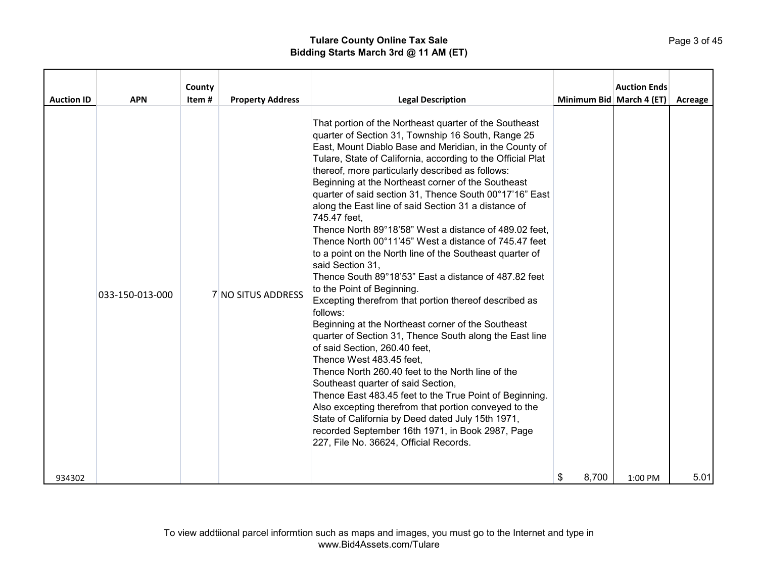|                   |                 | County |                         |                                                                                                                                                                                                                                                                                                                                                                                                                                                                                                                                                                                                                                                                                                                                                                                                                                                                                                                                                                                                                                                                                                                                                                                                                                                                                                                                                                                                   |            | <b>Auction Ends</b>      |         |
|-------------------|-----------------|--------|-------------------------|---------------------------------------------------------------------------------------------------------------------------------------------------------------------------------------------------------------------------------------------------------------------------------------------------------------------------------------------------------------------------------------------------------------------------------------------------------------------------------------------------------------------------------------------------------------------------------------------------------------------------------------------------------------------------------------------------------------------------------------------------------------------------------------------------------------------------------------------------------------------------------------------------------------------------------------------------------------------------------------------------------------------------------------------------------------------------------------------------------------------------------------------------------------------------------------------------------------------------------------------------------------------------------------------------------------------------------------------------------------------------------------------------|------------|--------------------------|---------|
| <b>Auction ID</b> | <b>APN</b>      | Item#  | <b>Property Address</b> | <b>Legal Description</b>                                                                                                                                                                                                                                                                                                                                                                                                                                                                                                                                                                                                                                                                                                                                                                                                                                                                                                                                                                                                                                                                                                                                                                                                                                                                                                                                                                          |            | Minimum Bid March 4 (ET) | Acreage |
|                   | 033-150-013-000 |        | 7 NO SITUS ADDRESS      | That portion of the Northeast quarter of the Southeast<br>quarter of Section 31, Township 16 South, Range 25<br>East, Mount Diablo Base and Meridian, in the County of<br>Tulare, State of California, according to the Official Plat<br>thereof, more particularly described as follows:<br>Beginning at the Northeast corner of the Southeast<br>quarter of said section 31, Thence South 00°17'16" East<br>along the East line of said Section 31 a distance of<br>745.47 feet,<br>Thence North 89°18'58" West a distance of 489.02 feet,<br>Thence North 00°11'45" West a distance of 745.47 feet<br>to a point on the North line of the Southeast quarter of<br>said Section 31,<br>Thence South 89°18'53" East a distance of 487.82 feet<br>to the Point of Beginning.<br>Excepting therefrom that portion thereof described as<br>follows:<br>Beginning at the Northeast corner of the Southeast<br>quarter of Section 31, Thence South along the East line<br>of said Section, 260.40 feet,<br>Thence West 483.45 feet,<br>Thence North 260.40 feet to the North line of the<br>Southeast quarter of said Section,<br>Thence East 483.45 feet to the True Point of Beginning.<br>Also excepting therefrom that portion conveyed to the<br>State of California by Deed dated July 15th 1971,<br>recorded September 16th 1971, in Book 2987, Page<br>227, File No. 36624, Official Records. |            |                          |         |
| 934302            |                 |        |                         |                                                                                                                                                                                                                                                                                                                                                                                                                                                                                                                                                                                                                                                                                                                                                                                                                                                                                                                                                                                                                                                                                                                                                                                                                                                                                                                                                                                                   | 8,700<br>S | $1:00$ PM                | 5.01    |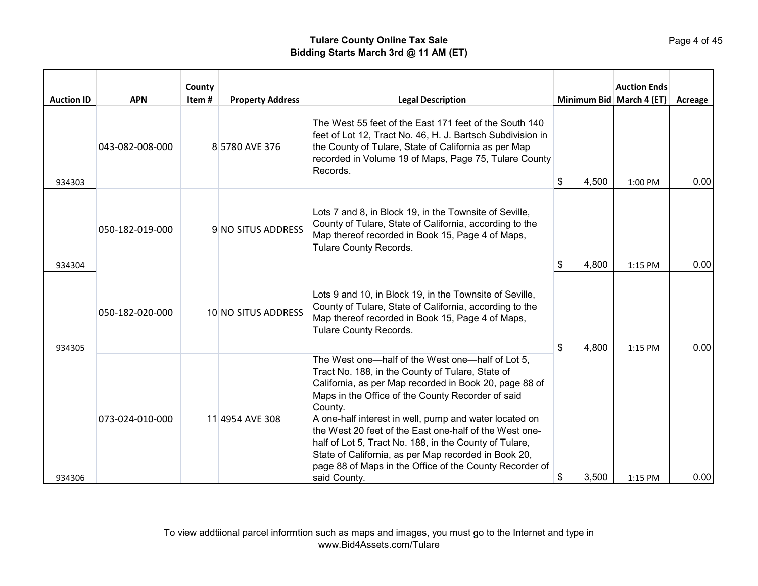| <b>Auction ID</b> | <b>APN</b>      | County<br>Item# | <b>Property Address</b> | <b>Legal Description</b>                                                                                                                                                                                                                                                                                                                                                                                                                                                                                                                        |             | <b>Auction Ends</b><br>Minimum Bid March 4 (ET) | Acreage |
|-------------------|-----------------|-----------------|-------------------------|-------------------------------------------------------------------------------------------------------------------------------------------------------------------------------------------------------------------------------------------------------------------------------------------------------------------------------------------------------------------------------------------------------------------------------------------------------------------------------------------------------------------------------------------------|-------------|-------------------------------------------------|---------|
| 934303            | 043-082-008-000 |                 | 8 5780 AVE 376          | The West 55 feet of the East 171 feet of the South 140<br>feet of Lot 12, Tract No. 46, H. J. Bartsch Subdivision in<br>the County of Tulare, State of California as per Map<br>recorded in Volume 19 of Maps, Page 75, Tulare County<br>Records.                                                                                                                                                                                                                                                                                               | \$<br>4,500 | 1:00 PM                                         | 0.00    |
| 934304            | 050-182-019-000 |                 | 9 NO SITUS ADDRESS      | Lots 7 and 8, in Block 19, in the Townsite of Seville,<br>County of Tulare, State of California, according to the<br>Map thereof recorded in Book 15, Page 4 of Maps,<br>Tulare County Records.                                                                                                                                                                                                                                                                                                                                                 | \$<br>4,800 | 1:15 PM                                         | 0.00    |
| 934305            | 050-182-020-000 |                 | 10 NO SITUS ADDRESS     | Lots 9 and 10, in Block 19, in the Townsite of Seville,<br>County of Tulare, State of California, according to the<br>Map thereof recorded in Book 15, Page 4 of Maps,<br>Tulare County Records.                                                                                                                                                                                                                                                                                                                                                | 4,800<br>S. | 1:15 PM                                         | 0.00    |
| 934306            | 073-024-010-000 |                 | 11 4954 AVE 308         | The West one-half of the West one-half of Lot 5,<br>Tract No. 188, in the County of Tulare, State of<br>California, as per Map recorded in Book 20, page 88 of<br>Maps in the Office of the County Recorder of said<br>County.<br>A one-half interest in well, pump and water located on<br>the West 20 feet of the East one-half of the West one-<br>half of Lot 5, Tract No. 188, in the County of Tulare,<br>State of California, as per Map recorded in Book 20,<br>page 88 of Maps in the Office of the County Recorder of<br>said County. | \$<br>3,500 | 1:15 PM                                         | 0.00    |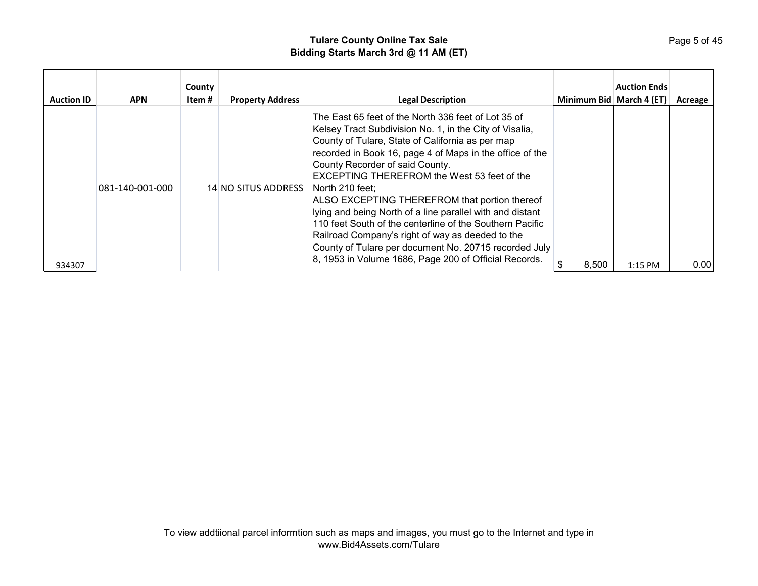| <b>Auction ID</b> | <b>APN</b>      | County<br>Item # | <b>Property Address</b> | <b>Legal Description</b>                                                                                                                                                                                                                                                                                                                                                                                                                                                                                                                                                                                                                                                                   | Minimum Bid   March 4 (ET) | <b>Auction Ends</b> | Acreage |
|-------------------|-----------------|------------------|-------------------------|--------------------------------------------------------------------------------------------------------------------------------------------------------------------------------------------------------------------------------------------------------------------------------------------------------------------------------------------------------------------------------------------------------------------------------------------------------------------------------------------------------------------------------------------------------------------------------------------------------------------------------------------------------------------------------------------|----------------------------|---------------------|---------|
| 934307            | 081-140-001-000 |                  | 14 NO SITUS ADDRESS     | The East 65 feet of the North 336 feet of Lot 35 of<br>Kelsey Tract Subdivision No. 1, in the City of Visalia,<br>County of Tulare, State of California as per map<br>recorded in Book 16, page 4 of Maps in the office of the<br>County Recorder of said County.<br><b>EXCEPTING THEREFROM the West 53 feet of the</b><br>North 210 feet:<br>ALSO EXCEPTING THEREFROM that portion thereof<br>lying and being North of a line parallel with and distant<br>110 feet South of the centerline of the Southern Pacific<br>Railroad Company's right of way as deeded to the<br>County of Tulare per document No. 20715 recorded July<br>8, 1953 in Volume 1686, Page 200 of Official Records. | 8,500                      | 1:15 PM             | 0.00    |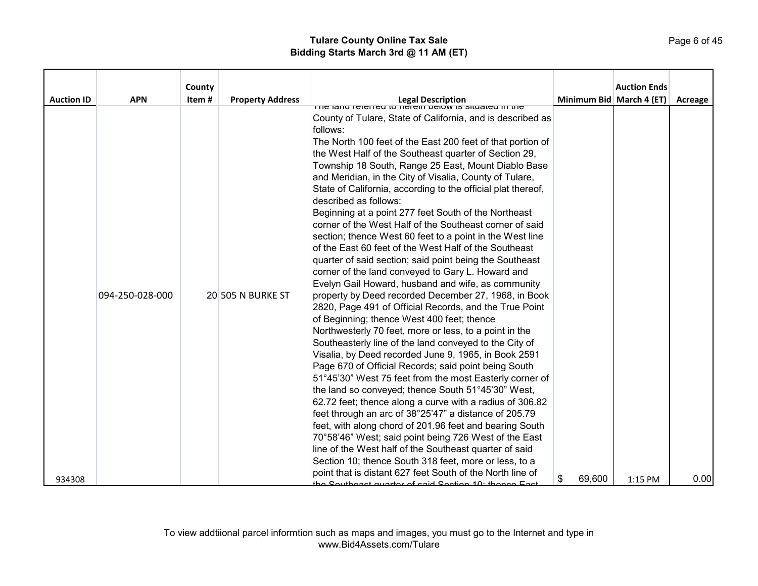|                   |                 | County |                         |                                                                                                                |                          | <b>Auction Ends</b> |         |
|-------------------|-----------------|--------|-------------------------|----------------------------------------------------------------------------------------------------------------|--------------------------|---------------------|---------|
| <b>Auction ID</b> | <b>APN</b>      | Item#  | <b>Property Address</b> | Legal Description<br>The lang referred to herein below is situated in the                                      | Minimum Bid March 4 (ET) |                     | Acreage |
|                   |                 |        |                         |                                                                                                                |                          |                     |         |
|                   |                 |        |                         | County of Tulare, State of California, and is described as<br>follows:                                         |                          |                     |         |
|                   |                 |        |                         | The North 100 feet of the East 200 feet of that portion of                                                     |                          |                     |         |
|                   |                 |        |                         | the West Half of the Southeast quarter of Section 29,                                                          |                          |                     |         |
|                   |                 |        |                         | Township 18 South, Range 25 East, Mount Diablo Base                                                            |                          |                     |         |
|                   |                 |        |                         | and Meridian, in the City of Visalia, County of Tulare,                                                        |                          |                     |         |
|                   |                 |        |                         | State of California, according to the official plat thereof,                                                   |                          |                     |         |
|                   |                 |        |                         | described as follows:                                                                                          |                          |                     |         |
|                   |                 |        |                         | Beginning at a point 277 feet South of the Northeast                                                           |                          |                     |         |
|                   |                 |        |                         | corner of the West Half of the Southeast corner of said                                                        |                          |                     |         |
|                   |                 |        |                         | section; thence West 60 feet to a point in the West line                                                       |                          |                     |         |
|                   |                 |        |                         | of the East 60 feet of the West Half of the Southeast                                                          |                          |                     |         |
|                   |                 |        |                         | quarter of said section; said point being the Southeast                                                        |                          |                     |         |
|                   |                 |        |                         | corner of the land conveyed to Gary L. Howard and                                                              |                          |                     |         |
|                   |                 |        |                         | Evelyn Gail Howard, husband and wife, as community                                                             |                          |                     |         |
|                   | 094-250-028-000 |        | 20 505 N BURKE ST       | property by Deed recorded December 27, 1968, in Book                                                           |                          |                     |         |
|                   |                 |        |                         | 2820, Page 491 of Official Records, and the True Point                                                         |                          |                     |         |
|                   |                 |        |                         | of Beginning; thence West 400 feet; thence                                                                     |                          |                     |         |
|                   |                 |        |                         | Northwesterly 70 feet, more or less, to a point in the                                                         |                          |                     |         |
|                   |                 |        |                         | Southeasterly line of the land conveyed to the City of<br>Visalia, by Deed recorded June 9, 1965, in Book 2591 |                          |                     |         |
|                   |                 |        |                         | Page 670 of Official Records; said point being South                                                           |                          |                     |         |
|                   |                 |        |                         | 51°45'30" West 75 feet from the most Easterly corner of                                                        |                          |                     |         |
|                   |                 |        |                         | the land so conveyed; thence South 51°45'30" West,                                                             |                          |                     |         |
|                   |                 |        |                         | 62.72 feet; thence along a curve with a radius of 306.82                                                       |                          |                     |         |
|                   |                 |        |                         | feet through an arc of 38°25'47" a distance of 205.79                                                          |                          |                     |         |
|                   |                 |        |                         | feet, with along chord of 201.96 feet and bearing South                                                        |                          |                     |         |
|                   |                 |        |                         | 70°58'46" West; said point being 726 West of the East                                                          |                          |                     |         |
|                   |                 |        |                         | line of the West half of the Southeast quarter of said                                                         |                          |                     |         |
|                   |                 |        |                         | Section 10; thence South 318 feet, more or less, to a                                                          |                          |                     |         |
| 934308            |                 |        |                         | point that is distant 627 feet South of the North line of                                                      | \$<br>69,600             | 1:15 PM             | 0.00    |
|                   |                 |        |                         | the Coutheast quarter of said Costion 10: thence East                                                          |                          |                     |         |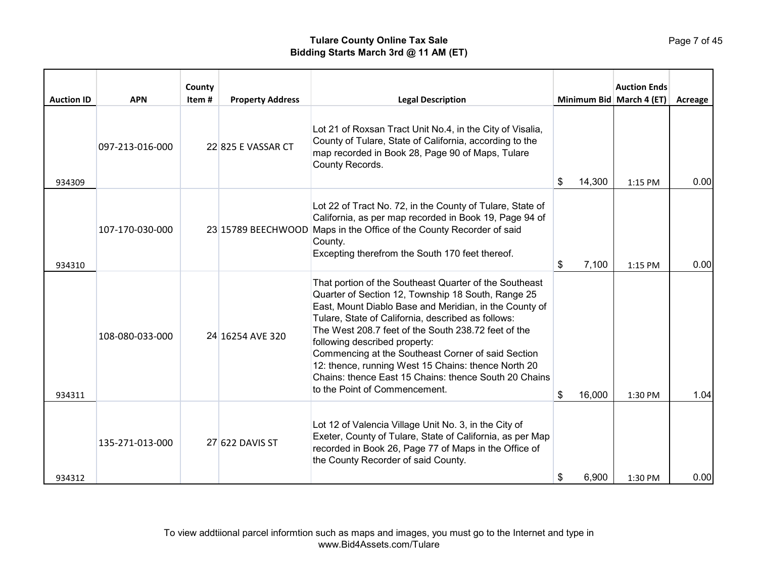| <b>Auction ID</b> | <b>APN</b>      | County<br>Item# | <b>Property Address</b> | <b>Legal Description</b>                                                                                                                                                                                                                                                                                                                                                                                                                                                                                                    |              | <b>Auction Ends</b><br>Minimum Bid March 4 (ET) | Acreage |
|-------------------|-----------------|-----------------|-------------------------|-----------------------------------------------------------------------------------------------------------------------------------------------------------------------------------------------------------------------------------------------------------------------------------------------------------------------------------------------------------------------------------------------------------------------------------------------------------------------------------------------------------------------------|--------------|-------------------------------------------------|---------|
| 934309            | 097-213-016-000 |                 | 22 825 E VASSAR CT      | Lot 21 of Roxsan Tract Unit No.4, in the City of Visalia,<br>County of Tulare, State of California, according to the<br>map recorded in Book 28, Page 90 of Maps, Tulare<br>County Records.                                                                                                                                                                                                                                                                                                                                 | 14,300<br>\$ | $1:15$ PM                                       | 0.00    |
| 934310            | 107-170-030-000 |                 |                         | Lot 22 of Tract No. 72, in the County of Tulare, State of<br>California, as per map recorded in Book 19, Page 94 of<br>23 15789 BEECHWOOD Maps in the Office of the County Recorder of said<br>County.<br>Excepting therefrom the South 170 feet thereof.                                                                                                                                                                                                                                                                   | 7,100<br>S.  | 1:15 PM                                         | 0.00    |
| 934311            | 108-080-033-000 |                 | 24 16254 AVE 320        | That portion of the Southeast Quarter of the Southeast<br>Quarter of Section 12, Township 18 South, Range 25<br>East, Mount Diablo Base and Meridian, in the County of<br>Tulare, State of California, described as follows:<br>The West 208.7 feet of the South 238.72 feet of the<br>following described property:<br>Commencing at the Southeast Corner of said Section<br>12: thence, running West 15 Chains: thence North 20<br>Chains: thence East 15 Chains: thence South 20 Chains<br>to the Point of Commencement. | \$<br>16,000 | 1:30 PM                                         | 1.04    |
| 934312            | 135-271-013-000 |                 | 27 622 DAVIS ST         | Lot 12 of Valencia Village Unit No. 3, in the City of<br>Exeter, County of Tulare, State of California, as per Map<br>recorded in Book 26, Page 77 of Maps in the Office of<br>the County Recorder of said County.                                                                                                                                                                                                                                                                                                          | 6,900<br>S   | 1:30 PM                                         | 0.00    |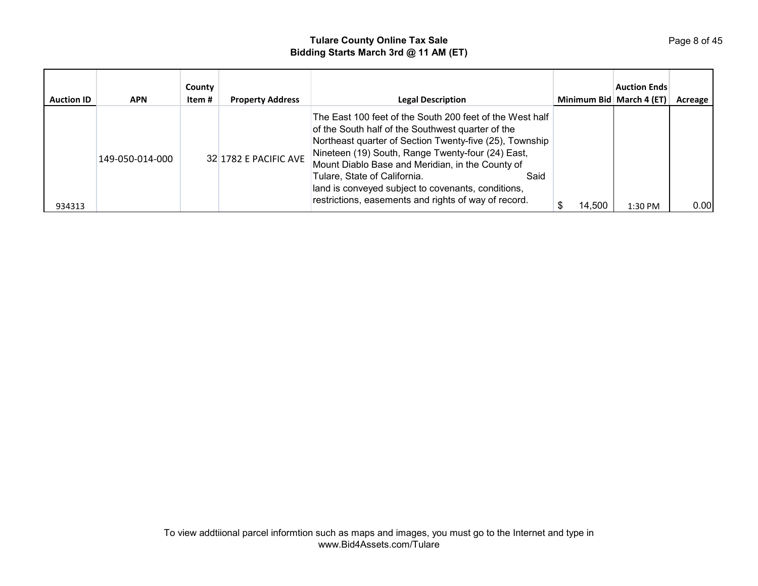| <b>Auction ID</b> | <b>APN</b>      | County<br>Item # | <b>Property Address</b> | <b>Legal Description</b>                                                                                                                                                                                                                                                                                                                                                                                                                | Minimum Bid March 4 (ET) | <b>Auction Ends</b> | Acreage |
|-------------------|-----------------|------------------|-------------------------|-----------------------------------------------------------------------------------------------------------------------------------------------------------------------------------------------------------------------------------------------------------------------------------------------------------------------------------------------------------------------------------------------------------------------------------------|--------------------------|---------------------|---------|
| 934313            | 149-050-014-000 |                  | 32 1782 E PACIFIC AVE   | The East 100 feet of the South 200 feet of the West half<br>of the South half of the Southwest quarter of the<br>Northeast quarter of Section Twenty-five (25), Township<br>Nineteen (19) South, Range Twenty-four (24) East,<br>Mount Diablo Base and Meridian, in the County of<br>Tulare, State of California.<br>Said<br>land is conveyed subject to covenants, conditions,<br>restrictions, easements and rights of way of record. | 14.500                   | 1:30 PM             | 0.00    |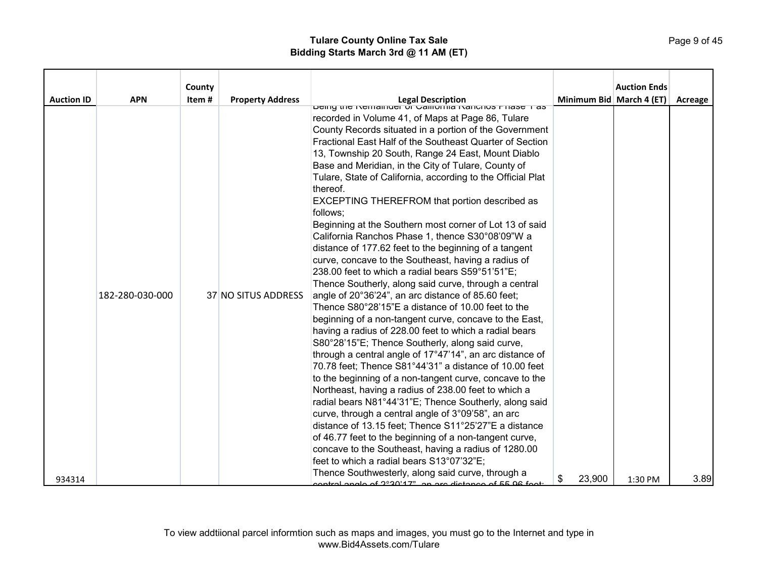|                   |                 | County |                         |                                                                                                               |                          | <b>Auction Ends</b> |         |
|-------------------|-----------------|--------|-------------------------|---------------------------------------------------------------------------------------------------------------|--------------------------|---------------------|---------|
| <b>Auction ID</b> | <b>APN</b>      | Item#  | <b>Property Address</b> | Legal Description<br>  בשנווץ עופ בשנום ומוסים בשנות המונחוס ביוושא דו                                        | Minimum Bid March 4 (ET) |                     | Acreage |
|                   |                 |        |                         |                                                                                                               |                          |                     |         |
|                   |                 |        |                         | recorded in Volume 41, of Maps at Page 86, Tulare                                                             |                          |                     |         |
|                   |                 |        |                         | County Records situated in a portion of the Government                                                        |                          |                     |         |
|                   |                 |        |                         | Fractional East Half of the Southeast Quarter of Section                                                      |                          |                     |         |
|                   |                 |        |                         | 13, Township 20 South, Range 24 East, Mount Diablo                                                            |                          |                     |         |
|                   |                 |        |                         | Base and Meridian, in the City of Tulare, County of                                                           |                          |                     |         |
|                   |                 |        |                         | Tulare, State of California, according to the Official Plat<br>thereof.                                       |                          |                     |         |
|                   |                 |        |                         | EXCEPTING THEREFROM that portion described as                                                                 |                          |                     |         |
|                   |                 |        |                         | follows:                                                                                                      |                          |                     |         |
|                   |                 |        |                         | Beginning at the Southern most corner of Lot 13 of said                                                       |                          |                     |         |
|                   |                 |        |                         | California Ranchos Phase 1, thence S30°08'09"W a                                                              |                          |                     |         |
|                   |                 |        |                         | distance of 177.62 feet to the beginning of a tangent                                                         |                          |                     |         |
|                   |                 |        |                         | curve, concave to the Southeast, having a radius of                                                           |                          |                     |         |
|                   |                 |        |                         | 238.00 feet to which a radial bears S59°51'51"E;                                                              |                          |                     |         |
|                   |                 |        |                         | Thence Southerly, along said curve, through a central                                                         |                          |                     |         |
|                   | 182-280-030-000 |        | 37 NO SITUS ADDRESS     | angle of 20°36'24", an arc distance of 85.60 feet;                                                            |                          |                     |         |
|                   |                 |        |                         | Thence S80°28'15"E a distance of 10.00 feet to the                                                            |                          |                     |         |
|                   |                 |        |                         | beginning of a non-tangent curve, concave to the East,                                                        |                          |                     |         |
|                   |                 |        |                         | having a radius of 228.00 feet to which a radial bears                                                        |                          |                     |         |
|                   |                 |        |                         | S80°28'15"E; Thence Southerly, along said curve,                                                              |                          |                     |         |
|                   |                 |        |                         | through a central angle of 17°47'14", an arc distance of                                                      |                          |                     |         |
|                   |                 |        |                         | 70.78 feet; Thence S81°44'31" a distance of 10.00 feet                                                        |                          |                     |         |
|                   |                 |        |                         | to the beginning of a non-tangent curve, concave to the                                                       |                          |                     |         |
|                   |                 |        |                         | Northeast, having a radius of 238.00 feet to which a                                                          |                          |                     |         |
|                   |                 |        |                         | radial bears N81°44'31"E; Thence Southerly, along said                                                        |                          |                     |         |
|                   |                 |        |                         | curve, through a central angle of 3°09'58", an arc                                                            |                          |                     |         |
|                   |                 |        |                         | distance of 13.15 feet; Thence S11°25'27"E a distance                                                         |                          |                     |         |
|                   |                 |        |                         | of 46.77 feet to the beginning of a non-tangent curve,                                                        |                          |                     |         |
|                   |                 |        |                         | concave to the Southeast, having a radius of 1280.00                                                          |                          |                     |         |
|                   |                 |        |                         | feet to which a radial bears S13°07'32"E;                                                                     |                          |                     |         |
| 934314            |                 |        |                         | Thence Southwesterly, along said curve, through a<br>optrol angle of 2°20'17", an are distance of EE 06 foot: | \$<br>23,900             | 1:30 PM             | 3.89    |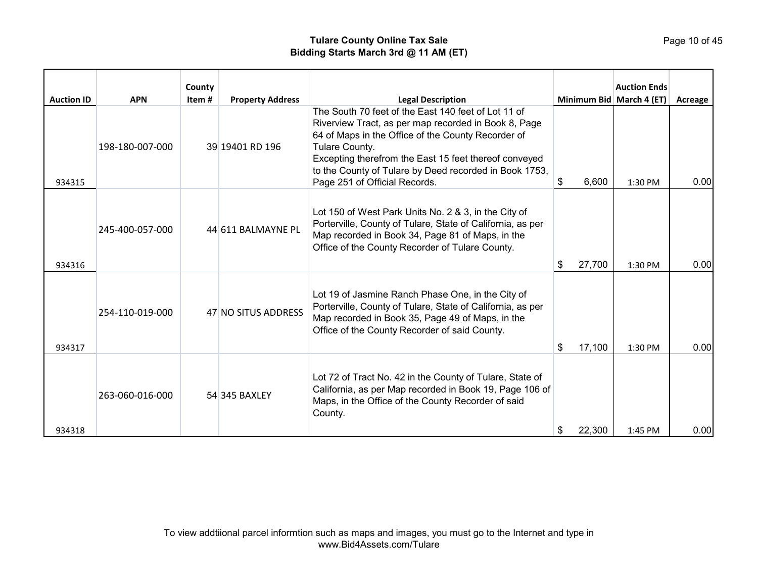| <b>Auction ID</b> | <b>APN</b>      | County<br>Item# | <b>Property Address</b> | <b>Legal Description</b>                                                                                                                                                                                                                                                                                                                |             | <b>Auction Ends</b><br>Minimum Bid March 4 (ET) | Acreage |
|-------------------|-----------------|-----------------|-------------------------|-----------------------------------------------------------------------------------------------------------------------------------------------------------------------------------------------------------------------------------------------------------------------------------------------------------------------------------------|-------------|-------------------------------------------------|---------|
| 934315            | 198-180-007-000 |                 | 39 19401 RD 196         | The South 70 feet of the East 140 feet of Lot 11 of<br>Riverview Tract, as per map recorded in Book 8, Page<br>64 of Maps in the Office of the County Recorder of<br>Tulare County.<br>Excepting therefrom the East 15 feet thereof conveyed<br>to the County of Tulare by Deed recorded in Book 1753,<br>Page 251 of Official Records. | 6,600<br>\$ | 1:30 PM                                         | 0.00    |
| 934316            | 245-400-057-000 |                 | 44 611 BALMAYNE PL      | Lot 150 of West Park Units No. 2 & 3, in the City of<br>Porterville, County of Tulare, State of California, as per<br>Map recorded in Book 34, Page 81 of Maps, in the<br>Office of the County Recorder of Tulare County.                                                                                                               | 27,700<br>S | 1:30 PM                                         | 0.00    |
| 934317            | 254-110-019-000 |                 | 47 NO SITUS ADDRESS     | Lot 19 of Jasmine Ranch Phase One, in the City of<br>Porterville, County of Tulare, State of California, as per<br>Map recorded in Book 35, Page 49 of Maps, in the<br>Office of the County Recorder of said County.                                                                                                                    | 17,100<br>S | 1:30 PM                                         | 0.00    |
| 934318            | 263-060-016-000 |                 | 54 345 BAXLEY           | Lot 72 of Tract No. 42 in the County of Tulare, State of<br>California, as per Map recorded in Book 19, Page 106 of<br>Maps, in the Office of the County Recorder of said<br>County.                                                                                                                                                    | 22,300<br>S | 1:45 PM                                         | 0.00    |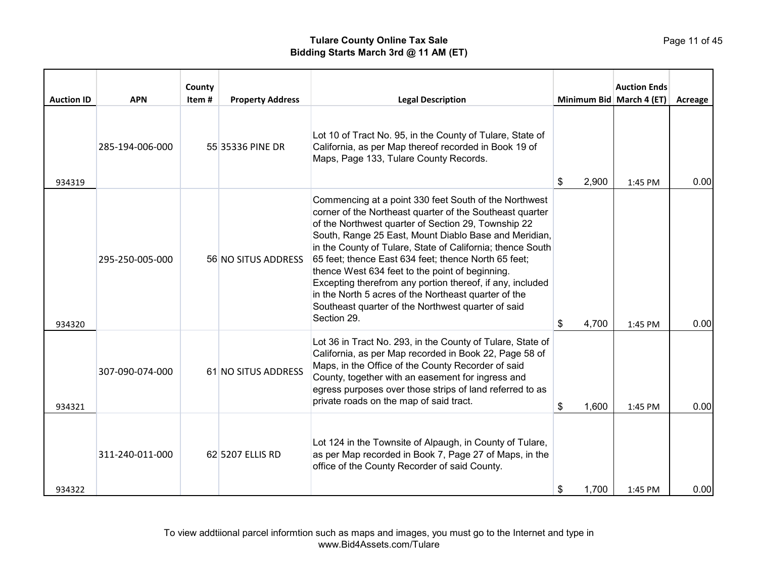| <b>Auction ID</b> | <b>APN</b>      | County<br>Item# | <b>Property Address</b> | <b>Legal Description</b>                                                                                                                                                                                                                                                                                                                                                                                                                                                                                                                                                                             |             | <b>Auction Ends</b><br>Minimum Bid   March 4 (ET) | Acreage |
|-------------------|-----------------|-----------------|-------------------------|------------------------------------------------------------------------------------------------------------------------------------------------------------------------------------------------------------------------------------------------------------------------------------------------------------------------------------------------------------------------------------------------------------------------------------------------------------------------------------------------------------------------------------------------------------------------------------------------------|-------------|---------------------------------------------------|---------|
| 934319            | 285-194-006-000 |                 | 55 35336 PINE DR        | Lot 10 of Tract No. 95, in the County of Tulare, State of<br>California, as per Map thereof recorded in Book 19 of<br>Maps, Page 133, Tulare County Records.                                                                                                                                                                                                                                                                                                                                                                                                                                         | 2,900<br>\$ | 1:45 PM                                           | 0.00    |
| 934320            | 295-250-005-000 |                 | 56 NO SITUS ADDRESS     | Commencing at a point 330 feet South of the Northwest<br>corner of the Northeast quarter of the Southeast quarter<br>of the Northwest quarter of Section 29, Township 22<br>South, Range 25 East, Mount Diablo Base and Meridian,<br>in the County of Tulare, State of California; thence South<br>65 feet; thence East 634 feet; thence North 65 feet;<br>thence West 634 feet to the point of beginning.<br>Excepting therefrom any portion thereof, if any, included<br>in the North 5 acres of the Northeast quarter of the<br>Southeast quarter of the Northwest quarter of said<br>Section 29. | \$<br>4,700 | 1:45 PM                                           | 0.00    |
| 934321            | 307-090-074-000 |                 | 61 NO SITUS ADDRESS     | Lot 36 in Tract No. 293, in the County of Tulare, State of<br>California, as per Map recorded in Book 22, Page 58 of<br>Maps, in the Office of the County Recorder of said<br>County, together with an easement for ingress and<br>egress purposes over those strips of land referred to as<br>private roads on the map of said tract.                                                                                                                                                                                                                                                               | \$<br>1,600 | 1:45 PM                                           | 0.00    |
| 934322            | 311-240-011-000 |                 | 62 5207 ELLIS RD        | Lot 124 in the Townsite of Alpaugh, in County of Tulare,<br>as per Map recorded in Book 7, Page 27 of Maps, in the<br>office of the County Recorder of said County.                                                                                                                                                                                                                                                                                                                                                                                                                                  | \$<br>1,700 | 1:45 PM                                           | 0.00    |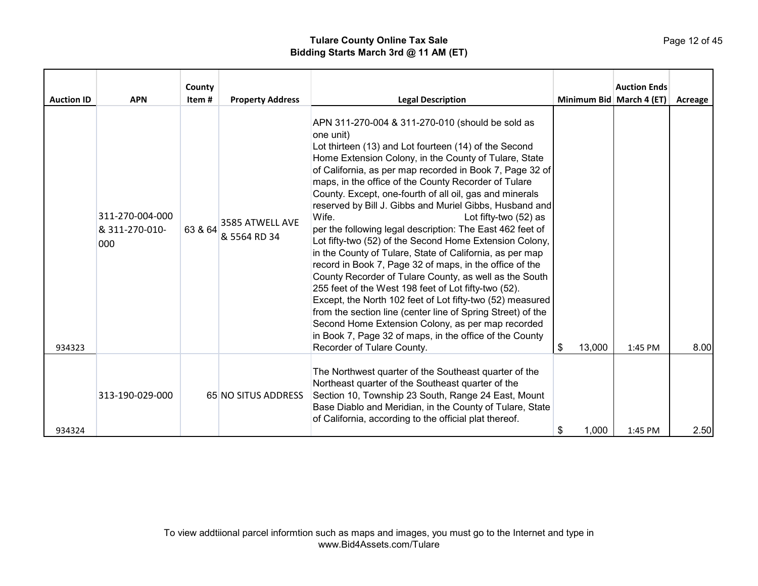# Page 12 of 45

| <b>Auction ID</b> | <b>APN</b><br>311-270-004-000<br>& 311-270-010-<br>000 | County<br>Item#<br>63 & 64 | <b>Property Address</b><br>3585 ATWELL AVE<br>& 5564 RD 34 | <b>Legal Description</b><br>APN 311-270-004 & 311-270-010 (should be sold as<br>one unit)<br>Lot thirteen (13) and Lot fourteen (14) of the Second<br>Home Extension Colony, in the County of Tulare, State<br>of California, as per map recorded in Book 7, Page 32 of<br>maps, in the office of the County Recorder of Tulare<br>County. Except, one-fourth of all oil, gas and minerals<br>reserved by Bill J. Gibbs and Muriel Gibbs, Husband and<br>Wife.<br>Lot fifty-two (52) as<br>per the following legal description: The East 462 feet of<br>Lot fifty-two (52) of the Second Home Extension Colony,<br>in the County of Tulare, State of California, as per map<br>record in Book 7, Page 32 of maps, in the office of the<br>County Recorder of Tulare County, as well as the South<br>255 feet of the West 198 feet of Lot fifty-two (52).<br>Except, the North 102 feet of Lot fifty-two (52) measured<br>from the section line (center line of Spring Street) of the<br>Second Home Extension Colony, as per map recorded |               | <b>Auction Ends</b><br>Minimum Bid March 4 (ET) | Acreage |
|-------------------|--------------------------------------------------------|----------------------------|------------------------------------------------------------|-------------------------------------------------------------------------------------------------------------------------------------------------------------------------------------------------------------------------------------------------------------------------------------------------------------------------------------------------------------------------------------------------------------------------------------------------------------------------------------------------------------------------------------------------------------------------------------------------------------------------------------------------------------------------------------------------------------------------------------------------------------------------------------------------------------------------------------------------------------------------------------------------------------------------------------------------------------------------------------------------------------------------------------------|---------------|-------------------------------------------------|---------|
| 934323            |                                                        |                            |                                                            | in Book 7, Page 32 of maps, in the office of the County<br>Recorder of Tulare County.                                                                                                                                                                                                                                                                                                                                                                                                                                                                                                                                                                                                                                                                                                                                                                                                                                                                                                                                                     | 13,000<br>\$. | 1:45 PM                                         | 8.00    |
| 934324            | 313-190-029-000                                        |                            | 65 NO SITUS ADDRESS                                        | The Northwest quarter of the Southeast quarter of the<br>Northeast quarter of the Southeast quarter of the<br>Section 10, Township 23 South, Range 24 East, Mount<br>Base Diablo and Meridian, in the County of Tulare, State<br>of California, according to the official plat thereof.                                                                                                                                                                                                                                                                                                                                                                                                                                                                                                                                                                                                                                                                                                                                                   | 1,000<br>\$   | 1:45 PM                                         | 2.50    |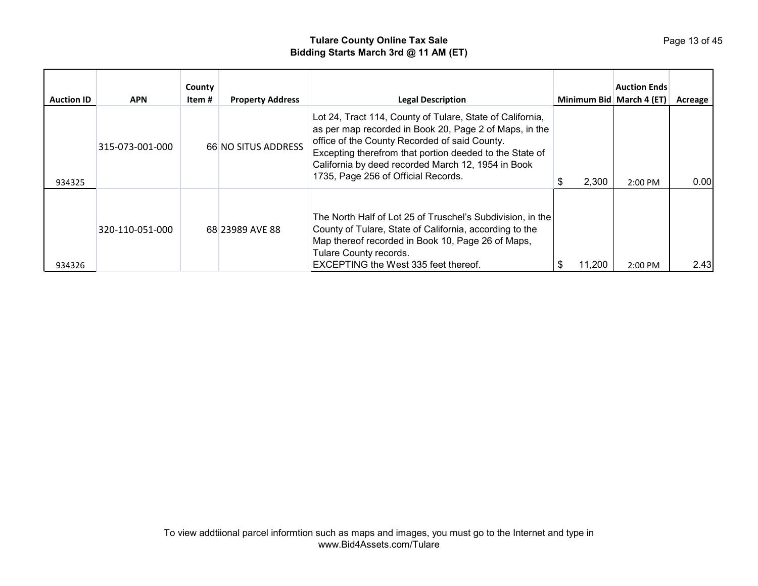| <b>Auction ID</b> | <b>APN</b>      | County<br>Item # | <b>Property Address</b> | <b>Legal Description</b>                                                                                                                                                                                                                                                                                                     | Minimum Bid March 4 (ET) | <b>Auction Ends</b> | Acreage |
|-------------------|-----------------|------------------|-------------------------|------------------------------------------------------------------------------------------------------------------------------------------------------------------------------------------------------------------------------------------------------------------------------------------------------------------------------|--------------------------|---------------------|---------|
| 934325            | 315-073-001-000 |                  | 66 NO SITUS ADDRESS     | Lot 24, Tract 114, County of Tulare, State of California,<br>as per map recorded in Book 20, Page 2 of Maps, in the<br>office of the County Recorded of said County.<br>Excepting therefrom that portion deeded to the State of<br>California by deed recorded March 12, 1954 in Book<br>1735, Page 256 of Official Records. | 2,300                    | $2:00$ PM           | 0.00    |
| 934326            | 320-110-051-000 |                  | 68 23989 AVE 88         | The North Half of Lot 25 of Truschel's Subdivision, in the<br>County of Tulare, State of California, according to the<br>Map thereof recorded in Book 10, Page 26 of Maps,<br>Tulare County records.<br><b>EXCEPTING the West 335 feet thereof.</b>                                                                          | 11.200                   | 2:00 PM             | 2.43    |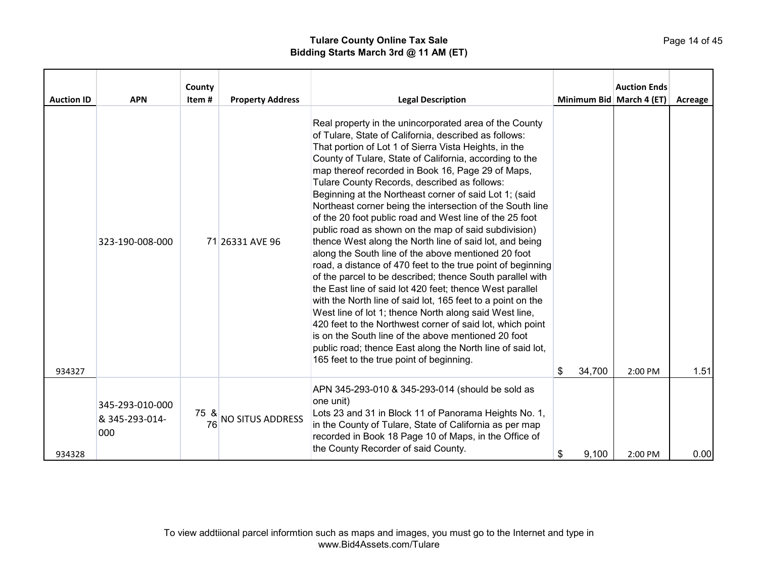| <b>Auction ID</b> | <b>APN</b>                               | County<br>Item# | <b>Property Address</b> | <b>Legal Description</b>                                                                                                                                                                                                                                                                                                                                                                                                                                                                                                                                                                                                                                                                                                                                                                                                                                                                                                                                                                                                                                                                                                                                                                                                                            |              | <b>Auction Ends</b><br>Minimum Bid March 4 (ET) | Acreage |
|-------------------|------------------------------------------|-----------------|-------------------------|-----------------------------------------------------------------------------------------------------------------------------------------------------------------------------------------------------------------------------------------------------------------------------------------------------------------------------------------------------------------------------------------------------------------------------------------------------------------------------------------------------------------------------------------------------------------------------------------------------------------------------------------------------------------------------------------------------------------------------------------------------------------------------------------------------------------------------------------------------------------------------------------------------------------------------------------------------------------------------------------------------------------------------------------------------------------------------------------------------------------------------------------------------------------------------------------------------------------------------------------------------|--------------|-------------------------------------------------|---------|
| 934327            | 323-190-008-000                          |                 | 71 26331 AVE 96         | Real property in the unincorporated area of the County<br>of Tulare, State of California, described as follows:<br>That portion of Lot 1 of Sierra Vista Heights, in the<br>County of Tulare, State of California, according to the<br>map thereof recorded in Book 16, Page 29 of Maps,<br>Tulare County Records, described as follows:<br>Beginning at the Northeast corner of said Lot 1; (said<br>Northeast corner being the intersection of the South line<br>of the 20 foot public road and West line of the 25 foot<br>public road as shown on the map of said subdivision)<br>thence West along the North line of said lot, and being<br>along the South line of the above mentioned 20 foot<br>road, a distance of 470 feet to the true point of beginning<br>of the parcel to be described; thence South parallel with<br>the East line of said lot 420 feet; thence West parallel<br>with the North line of said lot, 165 feet to a point on the<br>West line of lot 1; thence North along said West line,<br>420 feet to the Northwest corner of said lot, which point<br>is on the South line of the above mentioned 20 foot<br>public road; thence East along the North line of said lot,<br>165 feet to the true point of beginning. | \$<br>34,700 | $2:00$ PM                                       | 1.51    |
| 934328            | 345-293-010-000<br>& 345-293-014-<br>000 | 75 &<br>76      | <b>NO SITUS ADDRESS</b> | APN 345-293-010 & 345-293-014 (should be sold as<br>one unit)<br>Lots 23 and 31 in Block 11 of Panorama Heights No. 1,<br>in the County of Tulare, State of California as per map<br>recorded in Book 18 Page 10 of Maps, in the Office of<br>the County Recorder of said County.                                                                                                                                                                                                                                                                                                                                                                                                                                                                                                                                                                                                                                                                                                                                                                                                                                                                                                                                                                   | \$<br>9,100  | 2:00 PM                                         | 0.00    |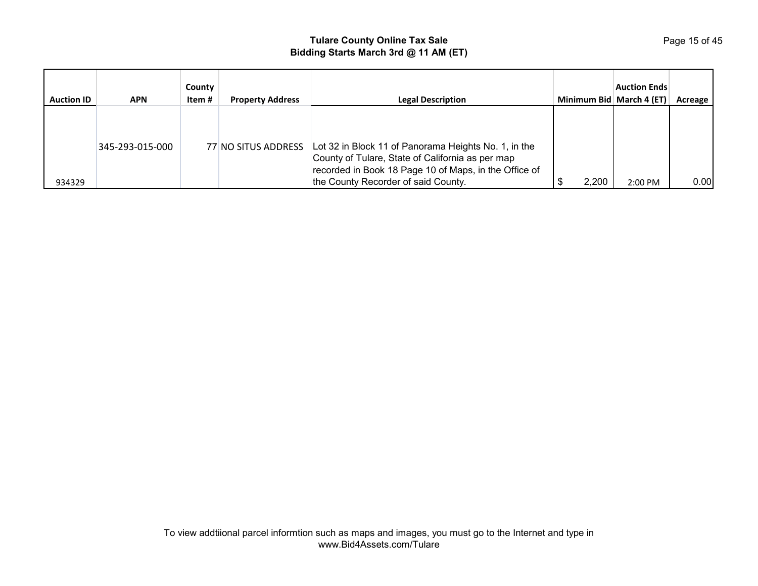| <b>Auction ID</b> | <b>APN</b>      | County<br>Item # | <b>Property Address</b> | <b>Legal Description</b>                                                                                                                                                                                 | Minimum Bid March 4 (ET) | <b>Auction Ends</b> | Acreage |
|-------------------|-----------------|------------------|-------------------------|----------------------------------------------------------------------------------------------------------------------------------------------------------------------------------------------------------|--------------------------|---------------------|---------|
| 934329            | 345-293-015-000 |                  | 77 NO SITUS ADDRESS     | Lot 32 in Block 11 of Panorama Heights No. 1, in the<br>County of Tulare, State of California as per map<br>recorded in Book 18 Page 10 of Maps, in the Office of<br>the County Recorder of said County. | 2,200                    | 2:00 PM             | 0.00    |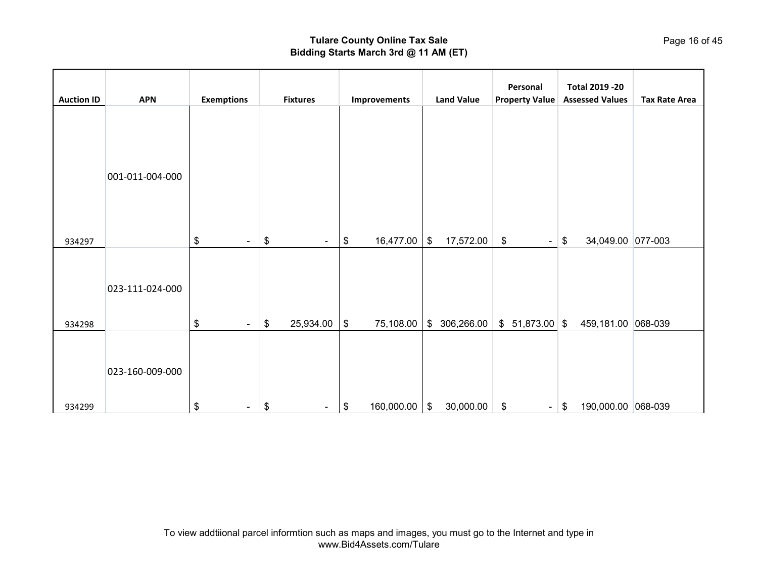|                   |                 |                   |                                      |                  |                             | Personal              | <b>Total 2019 -20</b>        |                      |
|-------------------|-----------------|-------------------|--------------------------------------|------------------|-----------------------------|-----------------------|------------------------------|----------------------|
| <b>Auction ID</b> | <b>APN</b>      | <b>Exemptions</b> | <b>Fixtures</b>                      | Improvements     | <b>Land Value</b>           | <b>Property Value</b> | <b>Assessed Values</b>       | <b>Tax Rate Area</b> |
|                   | 001-011-004-000 |                   |                                      |                  |                             |                       |                              |                      |
| 934297            |                 | \$<br>$\sim$      | \$<br>$\sim$                         | 16,477.00<br>\$  | \$<br>17,572.00             | \$<br>$\blacksquare$  | 34,049.00 077-003<br>\$      |                      |
|                   | 023-111-024-000 |                   |                                      |                  |                             |                       |                              |                      |
| 934298            |                 | \$<br>$\sim$      | 25,934.00<br>\$                      | \$<br>75,108.00  | 306,266.00<br>$\frac{1}{2}$ | $$51,873.00$ \\$      | 459,181.00 068-039           |                      |
|                   | 023-160-009-000 |                   |                                      |                  |                             |                       |                              |                      |
| 934299            |                 | \$<br>$\sim$      | $\boldsymbol{\mathsf{\$}}$<br>$\sim$ | 160,000.00<br>\$ | 30,000.00<br>\$             | \$                    | 190,000.00 068-039<br>$-$ \$ |                      |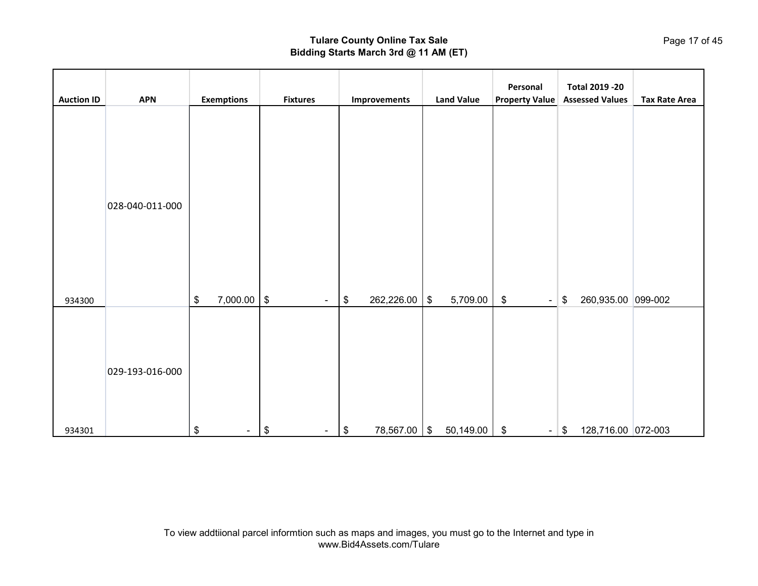| <b>Auction ID</b> | <b>APN</b>      | <b>Exemptions</b> | <b>Fixtures</b>        | Improvements     | <b>Land Value</b>          | Personal<br><b>Property Value</b>   | <b>Total 2019 -20</b><br><b>Assessed Values</b>  | <b>Tax Rate Area</b> |
|-------------------|-----------------|-------------------|------------------------|------------------|----------------------------|-------------------------------------|--------------------------------------------------|----------------------|
| 934300            | 028-040-011-000 | 7,000.00<br>\$    | $\,$<br>$\blacksquare$ | 262,226.00<br>\$ | 5,709.00<br>\$             | $\boldsymbol{\$}$<br>$\blacksquare$ | $\boldsymbol{\mathsf{\$}}$<br>260,935.00 099-002 |                      |
| 934301            | 029-193-016-000 | \$<br>$\sim$      | \$<br>$\sim$           | 78,567.00<br>\$  | 50,149.00<br>$\sqrt[6]{3}$ | $\sqrt[6]{3}$<br>$\blacksquare$     | 128,716.00 072-003<br>$\boldsymbol{\mathsf{\$}}$ |                      |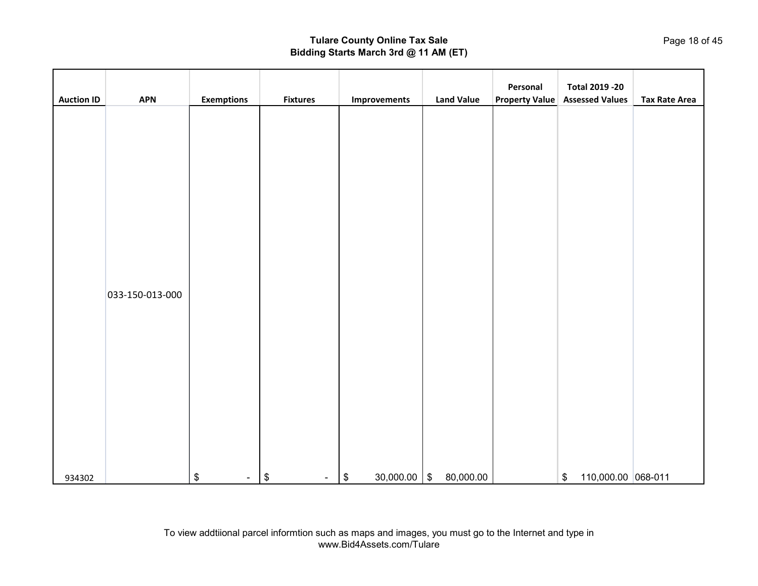| <b>Auction ID</b> | <b>APN</b>      | <b>Exemptions</b> | <b>Fixtures</b>      | Improvements    | <b>Land Value</b>                    | Personal<br><b>Property Value</b> | <b>Total 2019 -20</b><br><b>Assessed Values</b> | <b>Tax Rate Area</b> |
|-------------------|-----------------|-------------------|----------------------|-----------------|--------------------------------------|-----------------------------------|-------------------------------------------------|----------------------|
|                   |                 |                   |                      |                 |                                      |                                   |                                                 |                      |
|                   |                 |                   |                      |                 |                                      |                                   |                                                 |                      |
|                   |                 |                   |                      |                 |                                      |                                   |                                                 |                      |
|                   |                 |                   |                      |                 |                                      |                                   |                                                 |                      |
|                   |                 |                   |                      |                 |                                      |                                   |                                                 |                      |
|                   |                 |                   |                      |                 |                                      |                                   |                                                 |                      |
|                   |                 |                   |                      |                 |                                      |                                   |                                                 |                      |
|                   |                 |                   |                      |                 |                                      |                                   |                                                 |                      |
|                   |                 |                   |                      |                 |                                      |                                   |                                                 |                      |
|                   | 033-150-013-000 |                   |                      |                 |                                      |                                   |                                                 |                      |
|                   |                 |                   |                      |                 |                                      |                                   |                                                 |                      |
|                   |                 |                   |                      |                 |                                      |                                   |                                                 |                      |
|                   |                 |                   |                      |                 |                                      |                                   |                                                 |                      |
|                   |                 |                   |                      |                 |                                      |                                   |                                                 |                      |
|                   |                 |                   |                      |                 |                                      |                                   |                                                 |                      |
|                   |                 |                   |                      |                 |                                      |                                   |                                                 |                      |
|                   |                 |                   |                      |                 |                                      |                                   |                                                 |                      |
| 934302            |                 | \$<br>$\sim$      | \$<br>$\blacksquare$ | 30,000.00<br>\$ | 80,000.00<br>$\sqrt[6]{\frac{1}{2}}$ |                                   | 110,000.00 068-011<br>\$                        |                      |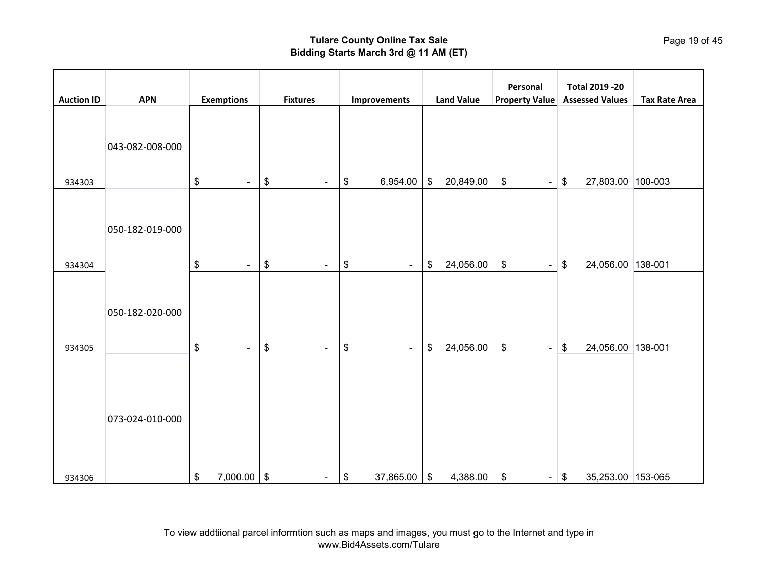| <b>Auction ID</b> | <b>APN</b>      | <b>Exemptions</b> | <b>Fixtures</b>      | Improvements                       | <b>Land Value</b> | Personal<br><b>Property Value</b> | <b>Total 2019 -20</b><br><b>Assessed Values</b> | <b>Tax Rate Area</b> |
|-------------------|-----------------|-------------------|----------------------|------------------------------------|-------------------|-----------------------------------|-------------------------------------------------|----------------------|
| 934303            | 043-082-008-000 | \$<br>$\sim$      | \$<br>$\blacksquare$ | 6,954.00<br>\$                     | \$<br>20,849.00   | \$<br>$\blacksquare$              | 27,803.00 100-003<br>\$                         |                      |
| 934304            | 050-182-019-000 | \$<br>$\sim$      | \$<br>$\blacksquare$ | \$<br>$\blacksquare$               | \$<br>24,056.00   | \$<br>$\blacksquare$              | 24,056.00 138-001<br>\$                         |                      |
| 934305            | 050-182-020-000 | \$<br>$\sim$      | \$<br>$\blacksquare$ | \$<br>$\blacksquare$               | \$<br>24,056.00   | \$<br>$\blacksquare$              | \$<br>24,056.00 138-001                         |                      |
| 934306            | 073-024-010-000 | \$<br>7,000.00    | \$<br>$\blacksquare$ | 37,865.00<br>$\boldsymbol{\theta}$ | \$<br>4,388.00    | \$<br>$\sim$ .                    | 35,253.00 153-065<br>\$                         |                      |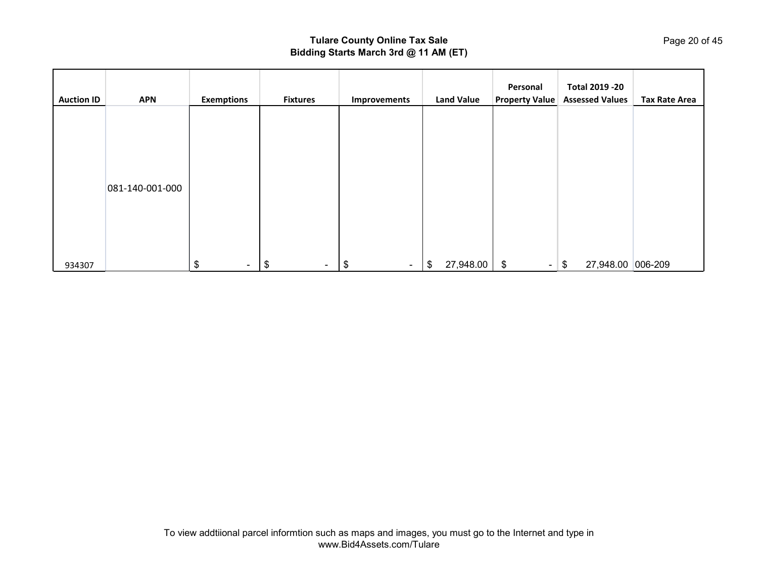| <b>Auction ID</b> | <b>APN</b>      | <b>Exemptions</b> | <b>Fixtures</b> | Improvements | <b>Land Value</b> | Personal<br><b>Property Value</b> | <b>Total 2019 -20</b><br><b>Assessed Values</b> | <b>Tax Rate Area</b> |
|-------------------|-----------------|-------------------|-----------------|--------------|-------------------|-----------------------------------|-------------------------------------------------|----------------------|
|                   |                 |                   |                 |              |                   |                                   |                                                 |                      |
|                   |                 |                   |                 |              |                   |                                   |                                                 |                      |
|                   | 081-140-001-000 |                   |                 |              |                   |                                   |                                                 |                      |
|                   |                 |                   |                 |              |                   |                                   |                                                 |                      |
| 934307            |                 | \$<br>$\sim$      | \$<br>$\sim$    | \$<br>$\sim$ | 27,948.00<br>\$   | - \$<br>$\blacksquare$            | 27,948.00 006-209<br>\$                         |                      |

Page 20 of 45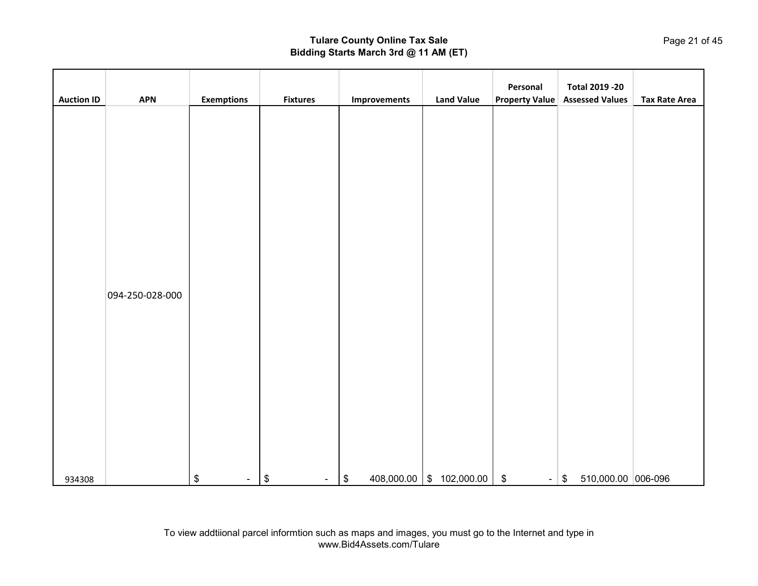|                   |                 |                   |                             |                                 |                   | Personal                                     | <b>Total 2019 -20</b>                            |                      |
|-------------------|-----------------|-------------------|-----------------------------|---------------------------------|-------------------|----------------------------------------------|--------------------------------------------------|----------------------|
| <b>Auction ID</b> | <b>APN</b>      | <b>Exemptions</b> | <b>Fixtures</b>             | Improvements                    | <b>Land Value</b> | <b>Property Value</b>                        | <b>Assessed Values</b>                           | <b>Tax Rate Area</b> |
|                   |                 |                   |                             |                                 |                   |                                              |                                                  |                      |
|                   |                 |                   |                             |                                 |                   |                                              |                                                  |                      |
|                   |                 |                   |                             |                                 |                   |                                              |                                                  |                      |
|                   |                 |                   |                             |                                 |                   |                                              |                                                  |                      |
|                   |                 |                   |                             |                                 |                   |                                              |                                                  |                      |
|                   |                 |                   |                             |                                 |                   |                                              |                                                  |                      |
|                   |                 |                   |                             |                                 |                   |                                              |                                                  |                      |
|                   |                 |                   |                             |                                 |                   |                                              |                                                  |                      |
|                   |                 |                   |                             |                                 |                   |                                              |                                                  |                      |
|                   |                 |                   |                             |                                 |                   |                                              |                                                  |                      |
|                   |                 |                   |                             |                                 |                   |                                              |                                                  |                      |
|                   | 094-250-028-000 |                   |                             |                                 |                   |                                              |                                                  |                      |
|                   |                 |                   |                             |                                 |                   |                                              |                                                  |                      |
|                   |                 |                   |                             |                                 |                   |                                              |                                                  |                      |
|                   |                 |                   |                             |                                 |                   |                                              |                                                  |                      |
|                   |                 |                   |                             |                                 |                   |                                              |                                                  |                      |
|                   |                 |                   |                             |                                 |                   |                                              |                                                  |                      |
|                   |                 |                   |                             |                                 |                   |                                              |                                                  |                      |
|                   |                 |                   |                             |                                 |                   |                                              |                                                  |                      |
|                   |                 |                   |                             |                                 |                   |                                              |                                                  |                      |
|                   |                 |                   |                             |                                 |                   |                                              |                                                  |                      |
|                   |                 |                   |                             |                                 |                   |                                              |                                                  |                      |
|                   |                 |                   |                             |                                 |                   |                                              |                                                  |                      |
| 934308            |                 | $\,$<br>$\sim$    | $\boldsymbol{\$}$<br>$\sim$ | $\boldsymbol{\$}$<br>408,000.00 | \$102,000.00      | $\boldsymbol{\mathsf{\$}}$<br>$\blacksquare$ | 510,000.00 006-096<br>$\boldsymbol{\mathsf{\$}}$ |                      |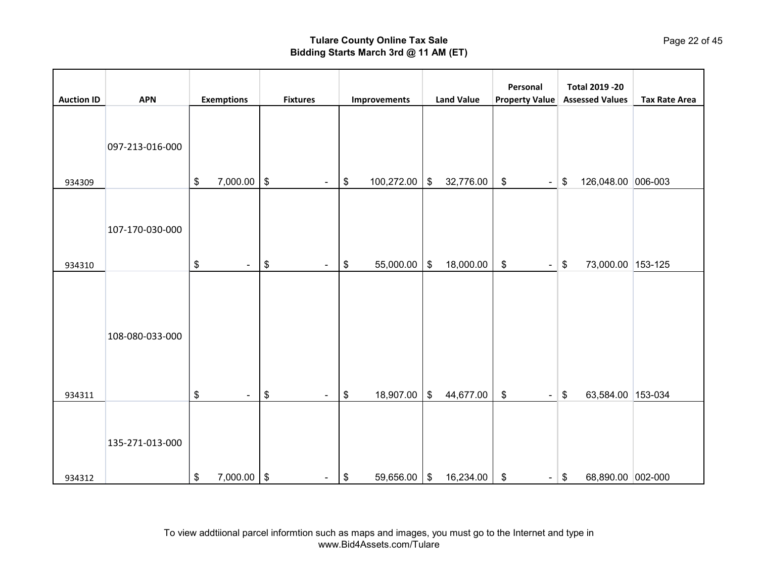|                   |                 |                        |                      |                                    |                   | Personal                                                    | <b>Total 2019 -20</b>    |                      |
|-------------------|-----------------|------------------------|----------------------|------------------------------------|-------------------|-------------------------------------------------------------|--------------------------|----------------------|
| <b>Auction ID</b> | <b>APN</b>      | <b>Exemptions</b>      | <b>Fixtures</b>      | Improvements                       | <b>Land Value</b> | <b>Property Value</b>                                       | <b>Assessed Values</b>   | <b>Tax Rate Area</b> |
| 934309            | 097-213-016-000 | 7,000.00<br>\$         | \$<br>$\blacksquare$ | 100,272.00<br>\$                   | 32,776.00<br>\$   | $\, \, \raisebox{12pt}{$\scriptstyle \$}$<br>$\blacksquare$ | 126,048.00 006-003<br>\$ |                      |
| 934310            | 107-170-030-000 | $\,$<br>$\sim$         | \$<br>$\blacksquare$ | 55,000.00<br>\$                    | \$<br>18,000.00   | $\, \, \raisebox{12pt}{$\scriptstyle \$}$<br>$\blacksquare$ | \$<br>73,000.00 153-125  |                      |
| 934311            | 108-080-033-000 | $\,$<br>$\blacksquare$ | \$<br>$\blacksquare$ | 18,907.00<br>\$                    | \$<br>44,677.00   | $\,$                                                        | \$<br>63,584.00 153-034  |                      |
|                   | 135-271-013-000 |                        |                      |                                    |                   | $\blacksquare$                                              |                          |                      |
| 934312            |                 | \$<br>7,000.00         | \$<br>$\blacksquare$ | 59,656.00<br>$\boldsymbol{\theta}$ | \$<br>16,234.00   | \$<br>$\blacksquare$                                        | 68,890.00 002-000<br>\$  |                      |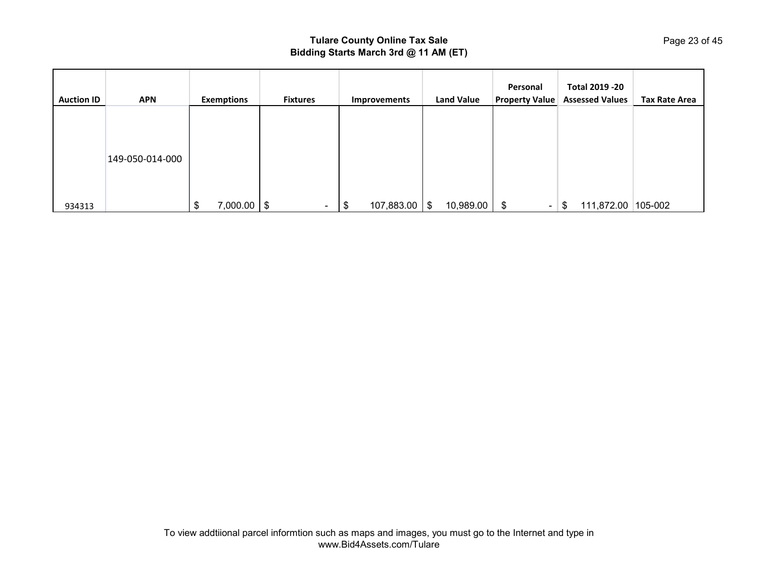| <b>Auction ID</b> | <b>APN</b>      | <b>Exemptions</b> | <b>Fixtures</b> | Improvements       | <b>Land Value</b> | Personal<br><b>Property Value</b> | Total 2019 - 20<br><b>Assessed Values</b> | <b>Tax Rate Area</b> |
|-------------------|-----------------|-------------------|-----------------|--------------------|-------------------|-----------------------------------|-------------------------------------------|----------------------|
|                   |                 |                   |                 |                    |                   |                                   |                                           |                      |
|                   | 149-050-014-000 |                   |                 |                    |                   |                                   |                                           |                      |
|                   |                 |                   |                 |                    |                   |                                   |                                           |                      |
| 934313            |                 | 7,000.00<br>\$    | -\$<br>$\sim$   | 107,883.00<br>- 30 | 10,989.00<br>\$   | \$<br>$\blacksquare$              | 111,872.00<br>\$                          | $105 - 002$          |

Page 23 of 45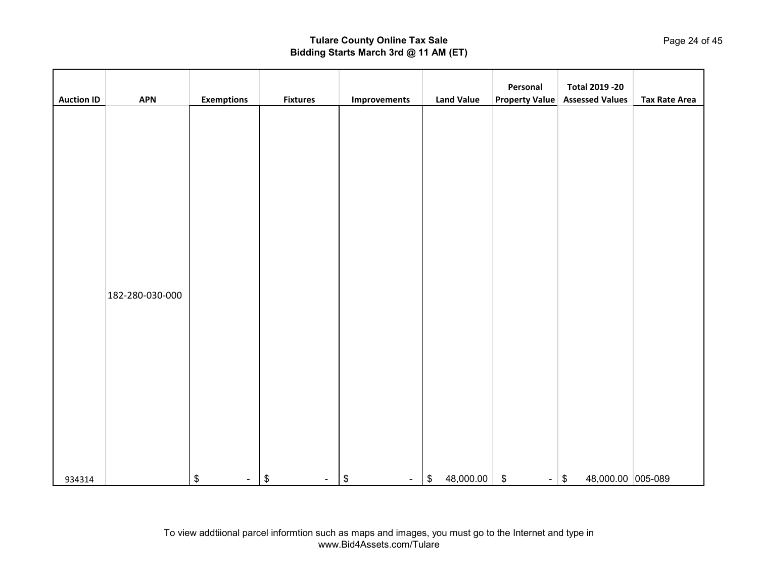|                   |                               |                   |                                     |                             |                                | Personal                             | <b>Total 2019 -20</b>                 |                      |
|-------------------|-------------------------------|-------------------|-------------------------------------|-----------------------------|--------------------------------|--------------------------------------|---------------------------------------|----------------------|
|                   |                               |                   |                                     |                             |                                |                                      |                                       |                      |
| <b>Auction ID</b> | <b>APN</b><br>182-280-030-000 | <b>Exemptions</b> | <b>Fixtures</b>                     | Improvements                | <b>Land Value</b>              |                                      | <b>Property Value Assessed Values</b> | <b>Tax Rate Area</b> |
| 934314            |                               | $\,$<br>$\sim$    | $\boldsymbol{\$}$<br>$\blacksquare$ | $\boldsymbol{\$}$<br>$\sim$ | 48,000.00<br>$\boldsymbol{\$}$ | $\boldsymbol{\mathsf{\$}}$<br>$\sim$ | 48,000.00 005-089<br>$\sqrt{2}$       |                      |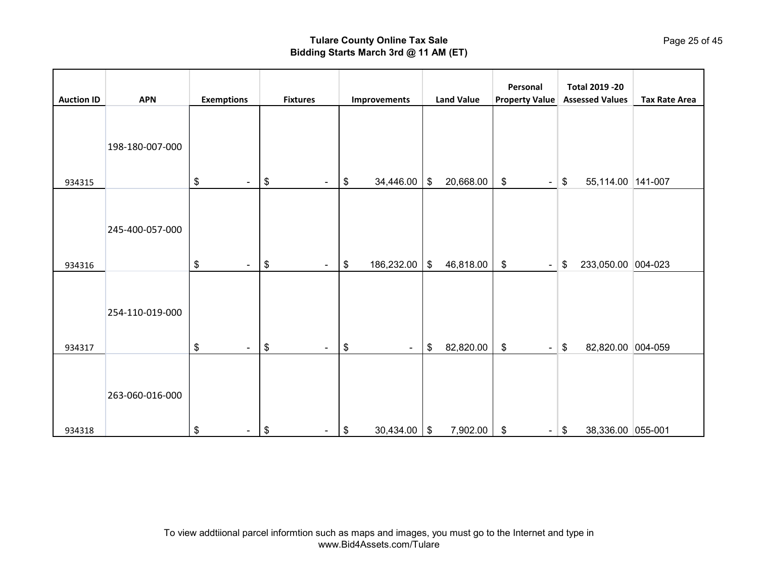|                   |                 |                      |                      |                                 |                           | Personal                                                    | <b>Total 2019 -20</b>    |                      |
|-------------------|-----------------|----------------------|----------------------|---------------------------------|---------------------------|-------------------------------------------------------------|--------------------------|----------------------|
| <b>Auction ID</b> | <b>APN</b>      | <b>Exemptions</b>    | <b>Fixtures</b>      | Improvements                    | <b>Land Value</b>         | <b>Property Value</b>                                       | <b>Assessed Values</b>   | <b>Tax Rate Area</b> |
|                   | 198-180-007-000 |                      |                      |                                 |                           |                                                             |                          |                      |
| 934315            |                 | \$<br>۰              | \$<br>$\blacksquare$ | 34,446.00<br>\$                 | \$<br>20,668.00           | $\, \, \raisebox{12pt}{$\scriptstyle \$}$<br>$\blacksquare$ | 55,114.00 141-007<br>\$  |                      |
|                   | 245-400-057-000 |                      |                      |                                 |                           |                                                             |                          |                      |
| 934316            |                 | \$<br>$\blacksquare$ | \$<br>$\blacksquare$ | 186,232.00<br>\$                | \$<br>46,818.00           | \$<br>$\blacksquare$                                        | 233,050.00 004-023<br>\$ |                      |
|                   | 254-110-019-000 |                      |                      |                                 |                           |                                                             |                          |                      |
| 934317            |                 | \$<br>$\blacksquare$ | \$<br>$\blacksquare$ | $\frac{1}{2}$<br>$\blacksquare$ | \$<br>82,820.00           | \$<br>$\blacksquare$                                        | \$<br>82,820.00 004-059  |                      |
| 934318            | 263-060-016-000 | \$<br>$\blacksquare$ | \$<br>$\blacksquare$ | 30,434.00<br>\$                 | 7,902.00<br>$\frac{1}{2}$ | $\boldsymbol{\mathsf{S}}$<br>$\sim$ .                       | 38,336.00 055-001<br>\$  |                      |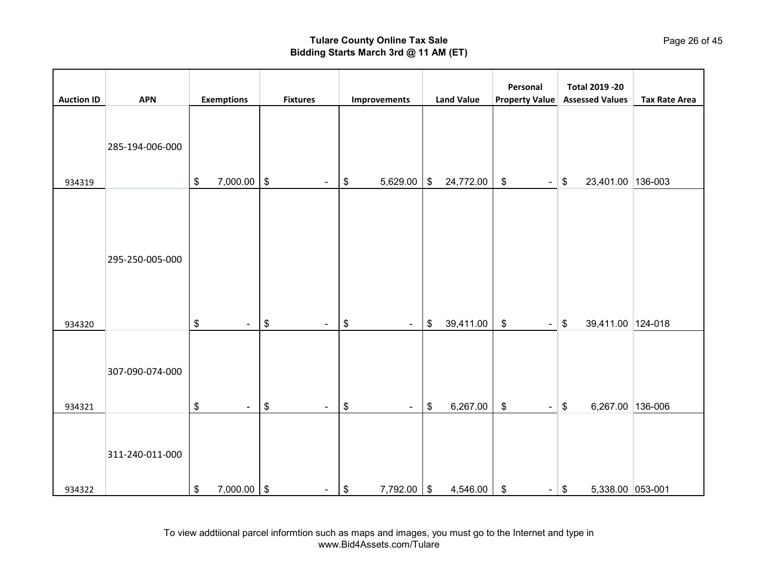| <b>Auction ID</b> | <b>APN</b>      | <b>Exemptions</b>    | <b>Fixtures</b>                                             | Improvements         | <b>Land Value</b> | Personal<br><b>Property Value</b>                           | <b>Total 2019 -20</b><br><b>Assessed Values</b> | <b>Tax Rate Area</b> |
|-------------------|-----------------|----------------------|-------------------------------------------------------------|----------------------|-------------------|-------------------------------------------------------------|-------------------------------------------------|----------------------|
| 934319            | 285-194-006-000 | 7,000.00<br>\$       | $\, \, \raisebox{12pt}{$\scriptstyle \$}$<br>$\blacksquare$ | 5,629.00<br>\$       | \$<br>24,772.00   | $\,$<br>$\blacksquare$                                      | 23,401.00 136-003<br>\$                         |                      |
| 934320            | 295-250-005-000 | \$<br>$\blacksquare$ | \$<br>$\blacksquare$                                        | \$<br>$\blacksquare$ | \$<br>39,411.00   | $\, \, \raisebox{12pt}{$\scriptstyle \$}$<br>$\blacksquare$ | \$<br>39,411.00 124-018                         |                      |
| 934321            | 307-090-074-000 | \$<br>$\blacksquare$ | \$<br>$\blacksquare$                                        | \$<br>$\blacksquare$ | \$<br>6,267.00    | $\,$<br>$\blacksquare$                                      | 6,267.00 136-006<br>\$                          |                      |
| 934322            | 311-240-011-000 | \$<br>7,000.00       | \$<br>$\blacksquare$                                        | 7,792.00 \$<br>\$    | 4,546.00          | $\boldsymbol{\$}$                                           | 5,338.00 053-001<br>$-$ \$                      |                      |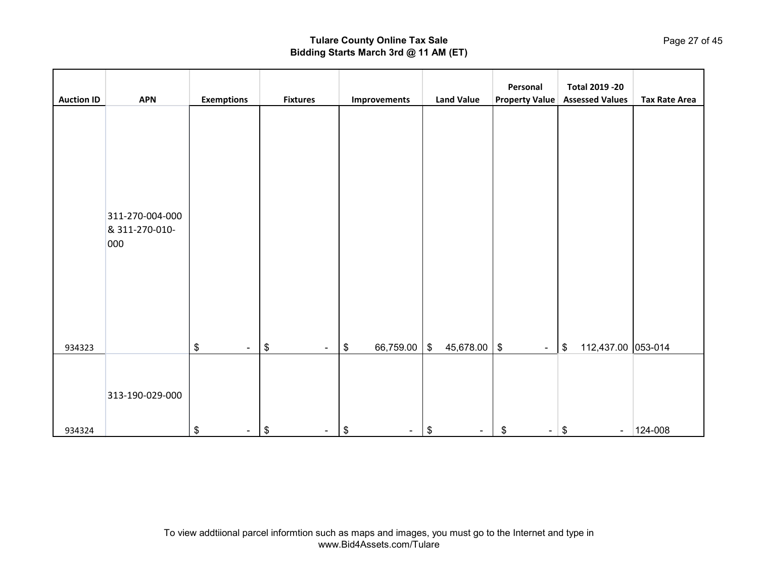|                   |                                          |                      |                                      |                                |                                      | Personal                                                            | <b>Total 2019 -20</b>    |                      |
|-------------------|------------------------------------------|----------------------|--------------------------------------|--------------------------------|--------------------------------------|---------------------------------------------------------------------|--------------------------|----------------------|
| <b>Auction ID</b> | <b>APN</b>                               | <b>Exemptions</b>    | <b>Fixtures</b>                      | Improvements                   | <b>Land Value</b>                    | <b>Property Value</b>                                               | <b>Assessed Values</b>   | <b>Tax Rate Area</b> |
|                   | 311-270-004-000<br>& 311-270-010-<br>000 |                      |                                      |                                |                                      |                                                                     |                          |                      |
| 934323            |                                          | \$<br>$\blacksquare$ | \$<br>$\sim$                         | 66,759.00<br>$\boldsymbol{\$}$ | 45,678.00<br>$\sqrt[6]{\frac{1}{2}}$ | $\, \, \raisebox{-1.5pt}{\text{\circle*{1.5}}}\,$<br>$\blacksquare$ | 112,437.00 053-014<br>\$ |                      |
|                   | 313-190-029-000                          |                      |                                      |                                |                                      |                                                                     |                          |                      |
| 934324            |                                          | \$<br>$\sim$         | $\boldsymbol{\mathsf{\$}}$<br>$\sim$ | \$<br>$\sim$                   | \$<br>$\sim$                         | \$<br>$\sim$                                                        | \$<br>$\sim$             | $ 124 - 008 $        |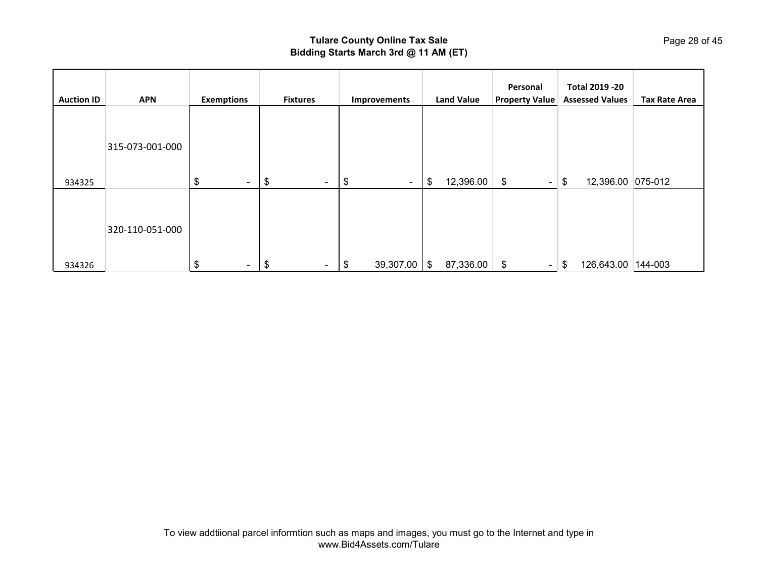| <b>Auction ID</b> | <b>APN</b>      | <b>Exemptions</b> | <b>Fixtures</b> | Improvements    | <b>Land Value</b> | Personal<br><b>Property Value</b> | Total 2019 - 20<br><b>Assessed Values</b> | <b>Tax Rate Area</b> |
|-------------------|-----------------|-------------------|-----------------|-----------------|-------------------|-----------------------------------|-------------------------------------------|----------------------|
|                   | 315-073-001-000 |                   |                 |                 |                   |                                   |                                           |                      |
| 934325            |                 | \$<br>$\sim$      | \$<br>$\sim$    | \$<br>$\sim$    | \$<br>12,396.00   | \$<br>$\sim$                      | 12,396.00 075-012<br>\$                   |                      |
|                   | 320-110-051-000 |                   |                 |                 |                   |                                   |                                           |                      |
| 934326            |                 | \$<br>$\sim$      | \$<br>$\sim$    | 39,307.00<br>\$ | 87,336.00<br>\$   | \$<br>$\blacksquare$              | 126,643.00 144-003<br>-\$                 |                      |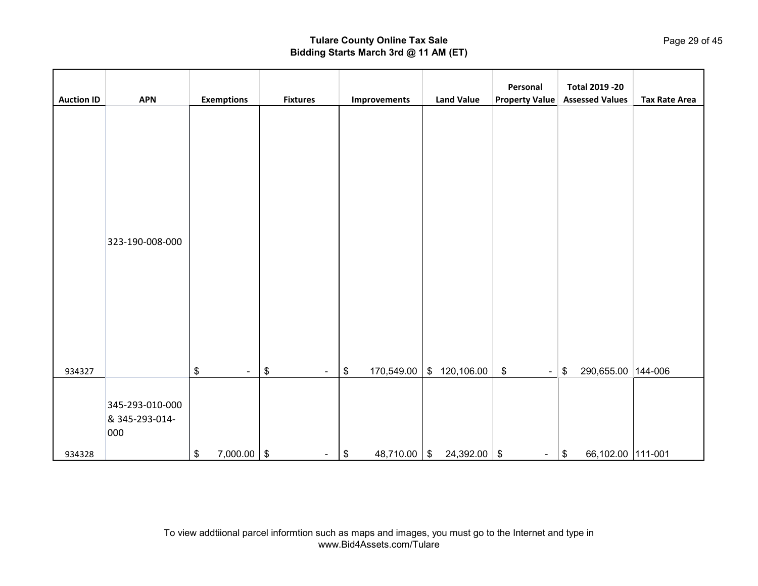| <b>Auction ID</b> | <b>APN</b>                               | <b>Exemptions</b>    | <b>Fixtures</b> | Improvements         | <b>Land Value</b>   | Personal<br><b>Property Value</b>                           | <b>Total 2019 -20</b><br><b>Assessed Values</b> | <b>Tax Rate Area</b> |
|-------------------|------------------------------------------|----------------------|-----------------|----------------------|---------------------|-------------------------------------------------------------|-------------------------------------------------|----------------------|
|                   | 323-190-008-000                          |                      |                 |                      |                     |                                                             |                                                 |                      |
| 934327            |                                          | \$<br>$\blacksquare$ | $\,$<br>$\sim$  | 170,549.00<br>\$     | $\$\$<br>120,106.00 | $\, \, \raisebox{12pt}{$\scriptstyle \$}$<br>$\blacksquare$ | 290,655.00 144-006<br>\$                        |                      |
|                   | 345-293-010-000<br>& 345-293-014-<br>000 |                      |                 |                      |                     |                                                             |                                                 |                      |
| 934328            |                                          | \$<br>$7,000.00$ \$  | $\sim$          | $48,710.00$ \$<br>\$ | $24,392.00$ \ \$    | $\blacksquare$                                              | 66,102.00 111-001<br>\$                         |                      |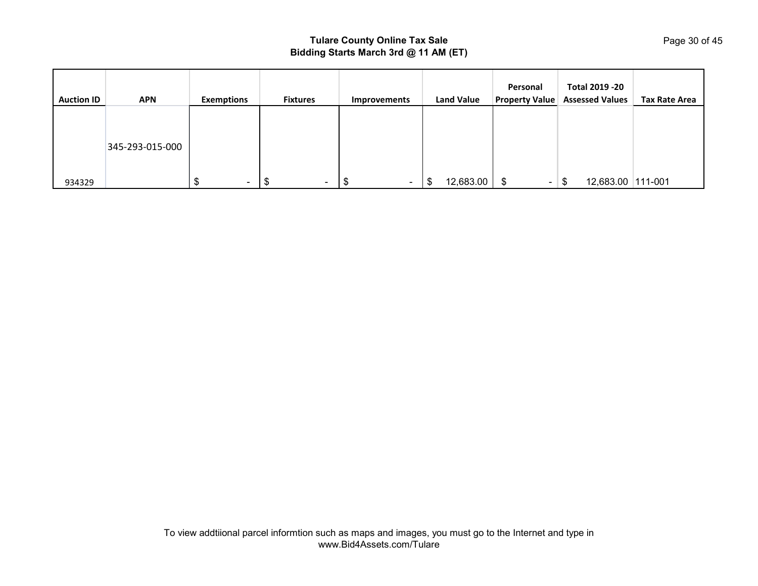| <b>Auction ID</b> | <b>APN</b>      | <b>Exemptions</b> | <b>Fixtures</b> | Improvements | <b>Land Value</b> | Personal<br><b>Property Value</b> | Total 2019 - 20<br><b>Assessed Values</b> | <b>Tax Rate Area</b> |
|-------------------|-----------------|-------------------|-----------------|--------------|-------------------|-----------------------------------|-------------------------------------------|----------------------|
|                   |                 |                   |                 |              |                   |                                   |                                           |                      |
|                   | 345-293-015-000 |                   |                 |              |                   |                                   |                                           |                      |
| 934329            |                 | $\blacksquare$    | $\sim$<br>د⊡ب   | \$<br>$\sim$ | 12,683.00<br>\$   | \$<br>$\sim$                      | 12,683.00 111-001<br>\$                   |                      |

Page 30 of 45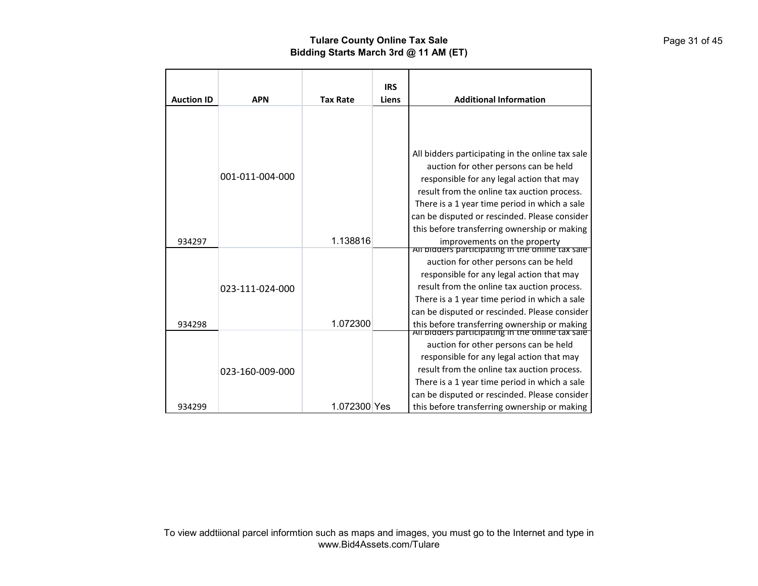|                   |                 |                 | <b>IRS</b> |                                                                                                  |
|-------------------|-----------------|-----------------|------------|--------------------------------------------------------------------------------------------------|
| <b>Auction ID</b> | <b>APN</b>      | <b>Tax Rate</b> | Liens      | <b>Additional Information</b>                                                                    |
|                   |                 |                 |            |                                                                                                  |
|                   |                 |                 |            | All bidders participating in the online tax sale<br>auction for other persons can be held        |
|                   | 001-011-004-000 |                 |            | responsible for any legal action that may                                                        |
|                   |                 |                 |            | result from the online tax auction process.                                                      |
|                   |                 |                 |            | There is a 1 year time period in which a sale                                                    |
|                   |                 |                 |            | can be disputed or rescinded. Please consider                                                    |
|                   |                 |                 |            | this before transferring ownership or making                                                     |
| 934297            |                 | 1.138816        |            | improvements on the property<br>All bidders participating in the online tax sale                 |
|                   |                 |                 |            | auction for other persons can be held                                                            |
|                   |                 |                 |            | responsible for any legal action that may                                                        |
|                   | 023-111-024-000 |                 |            | result from the online tax auction process.                                                      |
|                   |                 |                 |            | There is a 1 year time period in which a sale                                                    |
|                   |                 |                 |            | can be disputed or rescinded. Please consider                                                    |
| 934298            |                 | 1.072300        |            | this before transferring ownership or making<br>All bidders participating in the online tax sale |
|                   |                 |                 |            |                                                                                                  |
|                   |                 |                 |            | auction for other persons can be held                                                            |
|                   |                 |                 |            | responsible for any legal action that may                                                        |
|                   | 023-160-009-000 |                 |            | result from the online tax auction process.                                                      |
|                   |                 |                 |            | There is a 1 year time period in which a sale                                                    |
|                   |                 |                 |            | can be disputed or rescinded. Please consider                                                    |
| 934299            |                 | 1.072300 Yes    |            | this before transferring ownership or making                                                     |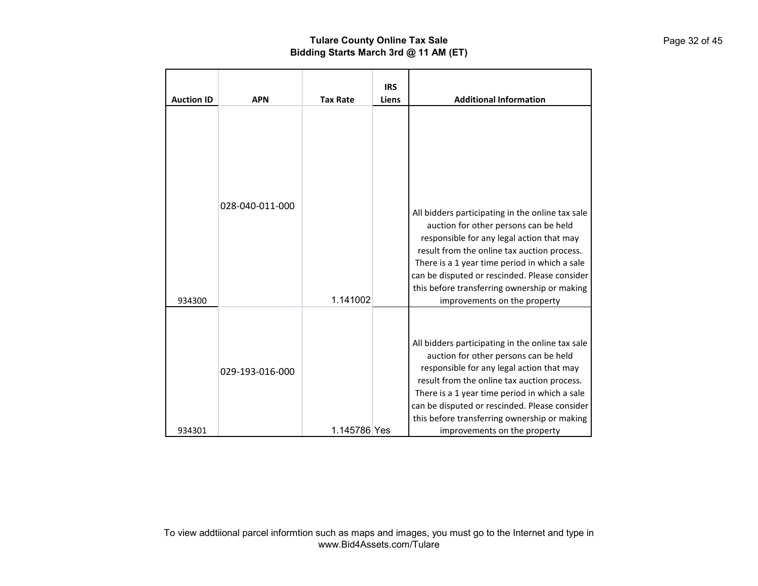| <b>Auction ID</b> | <b>APN</b>      | <b>Tax Rate</b> | <b>IRS</b><br>Liens | <b>Additional Information</b>                                                                                                                                                                                                                                                                                                                                           |
|-------------------|-----------------|-----------------|---------------------|-------------------------------------------------------------------------------------------------------------------------------------------------------------------------------------------------------------------------------------------------------------------------------------------------------------------------------------------------------------------------|
| 934300            | 028-040-011-000 | 1.141002        |                     | All bidders participating in the online tax sale<br>auction for other persons can be held<br>responsible for any legal action that may<br>result from the online tax auction process.<br>There is a 1 year time period in which a sale<br>can be disputed or rescinded. Please consider<br>this before transferring ownership or making<br>improvements on the property |
| 934301            | 029-193-016-000 | 1.145786 Yes    |                     | All bidders participating in the online tax sale<br>auction for other persons can be held<br>responsible for any legal action that may<br>result from the online tax auction process.<br>There is a 1 year time period in which a sale<br>can be disputed or rescinded. Please consider<br>this before transferring ownership or making<br>improvements on the property |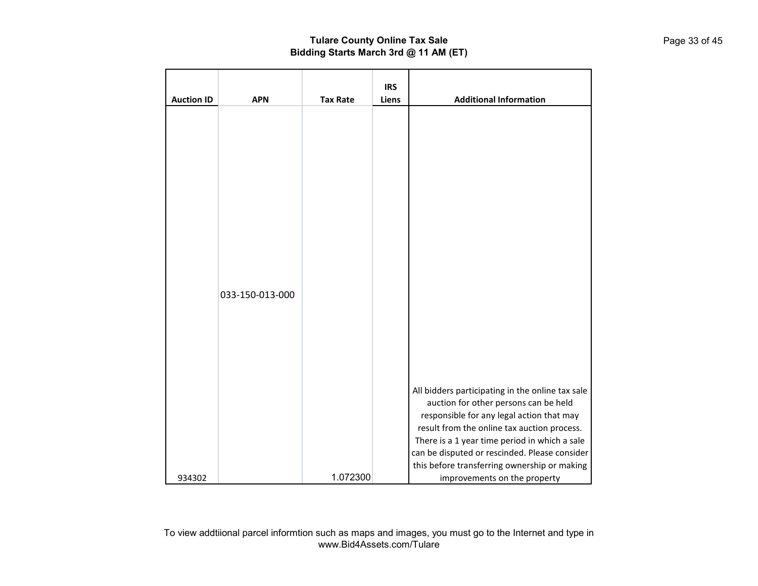| <b>Auction ID</b> | <b>APN</b>      | <b>Tax Rate</b> | <b>IRS</b><br>Liens | <b>Additional Information</b>                                                                                                                                                                                                                                                                                                                                           |
|-------------------|-----------------|-----------------|---------------------|-------------------------------------------------------------------------------------------------------------------------------------------------------------------------------------------------------------------------------------------------------------------------------------------------------------------------------------------------------------------------|
|                   |                 |                 |                     |                                                                                                                                                                                                                                                                                                                                                                         |
|                   | 033-150-013-000 |                 |                     |                                                                                                                                                                                                                                                                                                                                                                         |
| 934302            |                 | 1.072300        |                     | All bidders participating in the online tax sale<br>auction for other persons can be held<br>responsible for any legal action that may<br>result from the online tax auction process.<br>There is a 1 year time period in which a sale<br>can be disputed or rescinded. Please consider<br>this before transferring ownership or making<br>improvements on the property |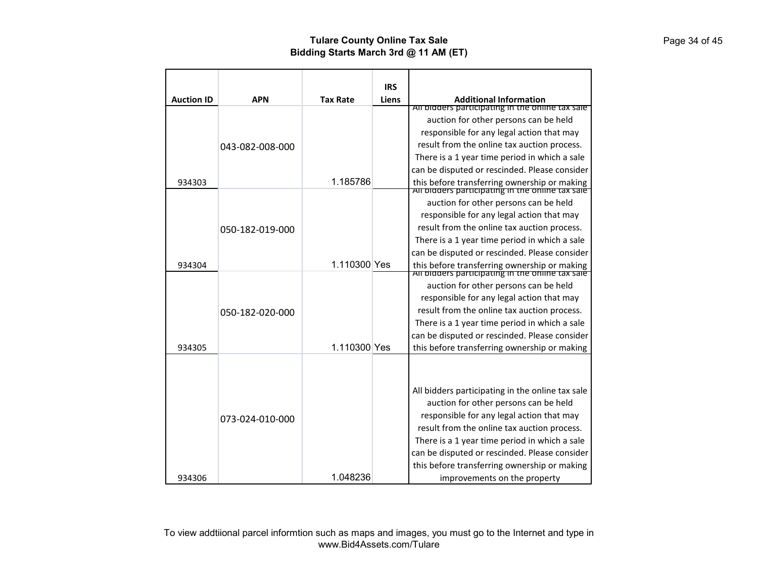|                   |                 |                 | <b>IRS</b> |                                                                                                                                                                                                                                                                                         |
|-------------------|-----------------|-----------------|------------|-----------------------------------------------------------------------------------------------------------------------------------------------------------------------------------------------------------------------------------------------------------------------------------------|
| <b>Auction ID</b> | <b>APN</b>      | <b>Tax Rate</b> | Liens      | <b>Additional Information</b>                                                                                                                                                                                                                                                           |
|                   |                 |                 |            | All bidders participating in the online tax sale                                                                                                                                                                                                                                        |
|                   |                 |                 |            | auction for other persons can be held                                                                                                                                                                                                                                                   |
|                   |                 |                 |            | responsible for any legal action that may                                                                                                                                                                                                                                               |
|                   | 043-082-008-000 |                 |            | result from the online tax auction process.                                                                                                                                                                                                                                             |
|                   |                 |                 |            | There is a 1 year time period in which a sale                                                                                                                                                                                                                                           |
|                   |                 |                 |            | can be disputed or rescinded. Please consider                                                                                                                                                                                                                                           |
| 934303            |                 | 1.185786        |            | this before transferring ownership or making<br>All bidders participating in the online tax sale                                                                                                                                                                                        |
|                   |                 |                 |            | auction for other persons can be held                                                                                                                                                                                                                                                   |
|                   |                 |                 |            | responsible for any legal action that may                                                                                                                                                                                                                                               |
|                   |                 |                 |            | result from the online tax auction process.                                                                                                                                                                                                                                             |
|                   | 050-182-019-000 |                 |            | There is a 1 year time period in which a sale                                                                                                                                                                                                                                           |
|                   |                 |                 |            | can be disputed or rescinded. Please consider                                                                                                                                                                                                                                           |
| 934304            |                 | 1.110300 Yes    |            |                                                                                                                                                                                                                                                                                         |
|                   |                 |                 |            | this before transferring ownership or making<br>All bidders participating in the online tax sale                                                                                                                                                                                        |
|                   |                 |                 |            | auction for other persons can be held                                                                                                                                                                                                                                                   |
|                   |                 |                 |            | responsible for any legal action that may                                                                                                                                                                                                                                               |
|                   | 050-182-020-000 |                 |            | result from the online tax auction process.                                                                                                                                                                                                                                             |
|                   |                 |                 |            | There is a 1 year time period in which a sale                                                                                                                                                                                                                                           |
|                   |                 |                 |            | can be disputed or rescinded. Please consider                                                                                                                                                                                                                                           |
| 934305            |                 | 1.110300 Yes    |            | this before transferring ownership or making                                                                                                                                                                                                                                            |
|                   | 073-024-010-000 |                 |            | All bidders participating in the online tax sale<br>auction for other persons can be held<br>responsible for any legal action that may<br>result from the online tax auction process.<br>There is a 1 year time period in which a sale<br>can be disputed or rescinded. Please consider |
| 934306            |                 | 1.048236        |            | this before transferring ownership or making<br>improvements on the property                                                                                                                                                                                                            |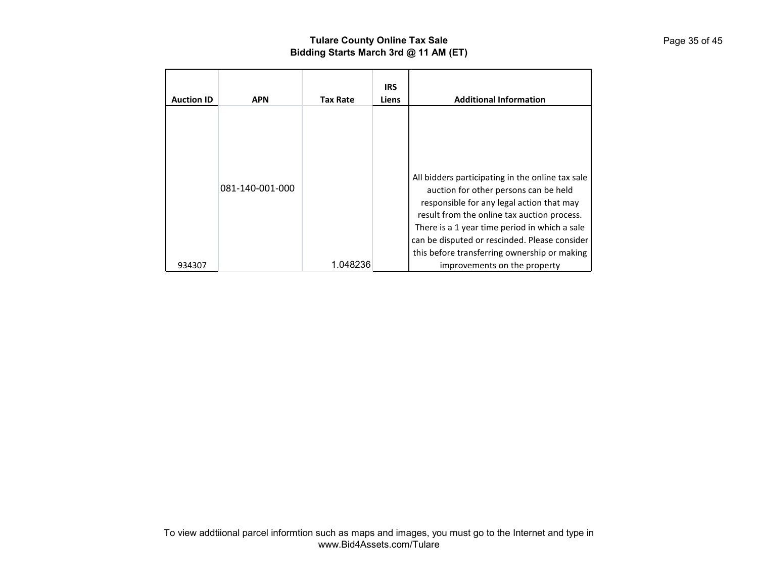| <b>Auction ID</b> | <b>APN</b>      | <b>Tax Rate</b> | <b>IRS</b><br>Liens | <b>Additional Information</b>                                                                                                                                                                                                                                                                                                                                           |
|-------------------|-----------------|-----------------|---------------------|-------------------------------------------------------------------------------------------------------------------------------------------------------------------------------------------------------------------------------------------------------------------------------------------------------------------------------------------------------------------------|
| 934307            | 081-140-001-000 | 1.048236        |                     | All bidders participating in the online tax sale<br>auction for other persons can be held<br>responsible for any legal action that may<br>result from the online tax auction process.<br>There is a 1 year time period in which a sale<br>can be disputed or rescinded. Please consider<br>this before transferring ownership or making<br>improvements on the property |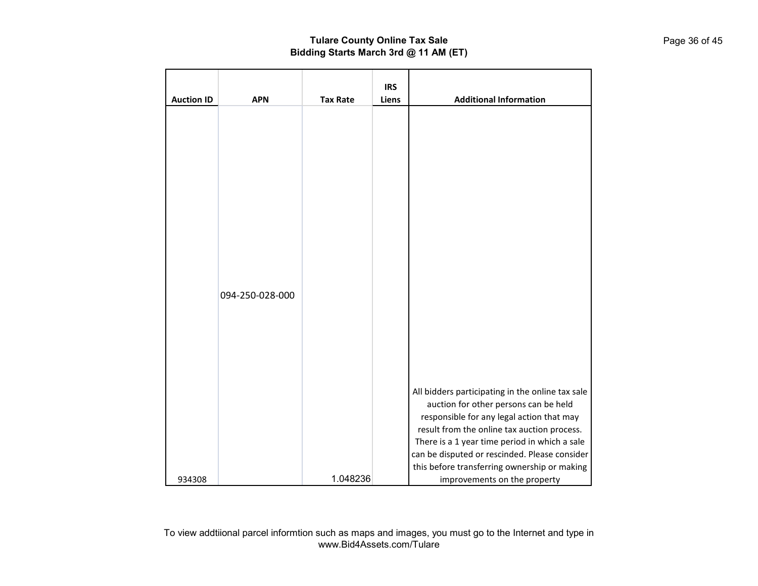| <b>Auction ID</b> | <b>APN</b>      | <b>Tax Rate</b> | <b>IRS</b><br>Liens | <b>Additional Information</b>                                                                                                                                                                                                                                                                                                           |
|-------------------|-----------------|-----------------|---------------------|-----------------------------------------------------------------------------------------------------------------------------------------------------------------------------------------------------------------------------------------------------------------------------------------------------------------------------------------|
|                   | 094-250-028-000 |                 |                     |                                                                                                                                                                                                                                                                                                                                         |
|                   |                 |                 |                     | All bidders participating in the online tax sale<br>auction for other persons can be held<br>responsible for any legal action that may<br>result from the online tax auction process.<br>There is a 1 year time period in which a sale<br>can be disputed or rescinded. Please consider<br>this before transferring ownership or making |
| 934308            |                 | 1.048236        |                     | improvements on the property                                                                                                                                                                                                                                                                                                            |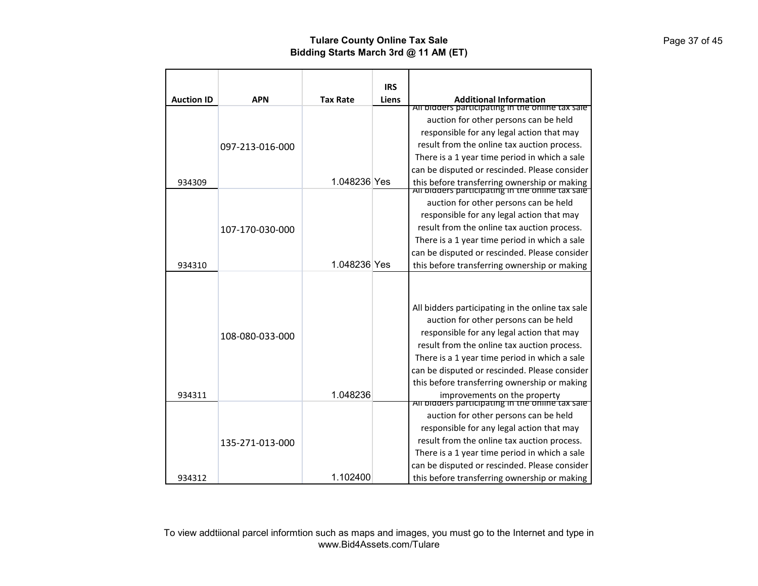|                   |                 |                 | <b>IRS</b> |                                                                                                  |
|-------------------|-----------------|-----------------|------------|--------------------------------------------------------------------------------------------------|
| <b>Auction ID</b> | <b>APN</b>      | <b>Tax Rate</b> | Liens      | <b>Additional Information</b>                                                                    |
|                   |                 |                 |            | All bidders participating in the online tax sale                                                 |
|                   |                 |                 |            | auction for other persons can be held                                                            |
|                   |                 |                 |            | responsible for any legal action that may                                                        |
|                   | 097-213-016-000 |                 |            | result from the online tax auction process.                                                      |
|                   |                 |                 |            | There is a 1 year time period in which a sale                                                    |
|                   |                 | 1.048236 Yes    |            | can be disputed or rescinded. Please consider                                                    |
| 934309            |                 |                 |            | this before transferring ownership or making<br>All bidders participating in the online tax sale |
|                   |                 |                 |            | auction for other persons can be held                                                            |
|                   |                 |                 |            | responsible for any legal action that may                                                        |
|                   | 107-170-030-000 |                 |            | result from the online tax auction process.                                                      |
|                   |                 |                 |            | There is a 1 year time period in which a sale                                                    |
|                   |                 |                 |            | can be disputed or rescinded. Please consider                                                    |
| 934310            |                 | 1.048236 Yes    |            | this before transferring ownership or making                                                     |
|                   |                 |                 |            |                                                                                                  |
|                   |                 |                 |            | All bidders participating in the online tax sale                                                 |
|                   |                 |                 |            | auction for other persons can be held                                                            |
|                   | 108-080-033-000 |                 |            | responsible for any legal action that may                                                        |
|                   |                 |                 |            | result from the online tax auction process.                                                      |
|                   |                 |                 |            | There is a 1 year time period in which a sale                                                    |
|                   |                 |                 |            | can be disputed or rescinded. Please consider                                                    |
|                   |                 |                 |            | this before transferring ownership or making                                                     |
| 934311            |                 | 1.048236        |            | improvements on the property<br>All bidders participating in the online tax sale                 |
|                   |                 |                 |            | auction for other persons can be held                                                            |
|                   |                 |                 |            | responsible for any legal action that may                                                        |
|                   | 135-271-013-000 |                 |            | result from the online tax auction process.                                                      |
|                   |                 |                 |            | There is a 1 year time period in which a sale                                                    |
|                   |                 |                 |            | can be disputed or rescinded. Please consider                                                    |
| 934312            |                 | 1.102400        |            | this before transferring ownership or making                                                     |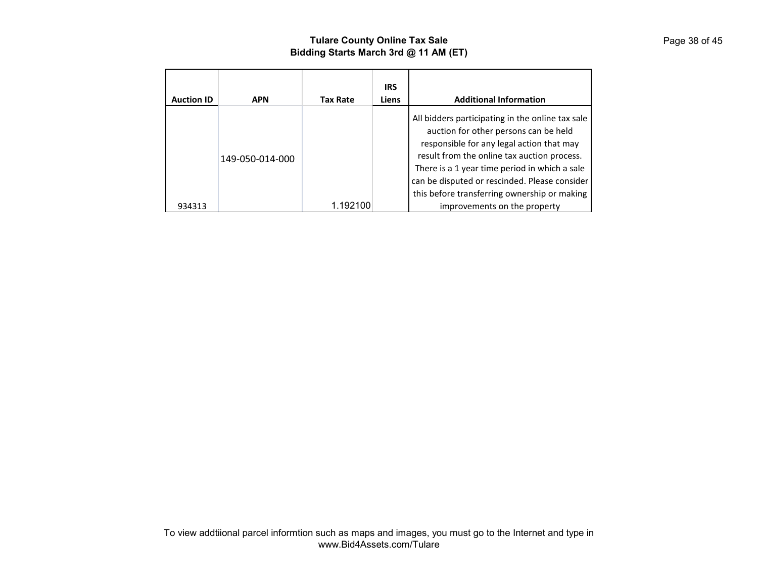|                   |                 |                 | <b>IRS</b> |                                                                                                                                                                                                                                                                                                                                         |
|-------------------|-----------------|-----------------|------------|-----------------------------------------------------------------------------------------------------------------------------------------------------------------------------------------------------------------------------------------------------------------------------------------------------------------------------------------|
| <b>Auction ID</b> | <b>APN</b>      | <b>Tax Rate</b> | Liens      | <b>Additional Information</b>                                                                                                                                                                                                                                                                                                           |
|                   | 149-050-014-000 |                 |            | All bidders participating in the online tax sale<br>auction for other persons can be held<br>responsible for any legal action that may<br>result from the online tax auction process.<br>There is a 1 year time period in which a sale<br>can be disputed or rescinded. Please consider<br>this before transferring ownership or making |
| 934313            |                 | .192100         |            | improvements on the property                                                                                                                                                                                                                                                                                                            |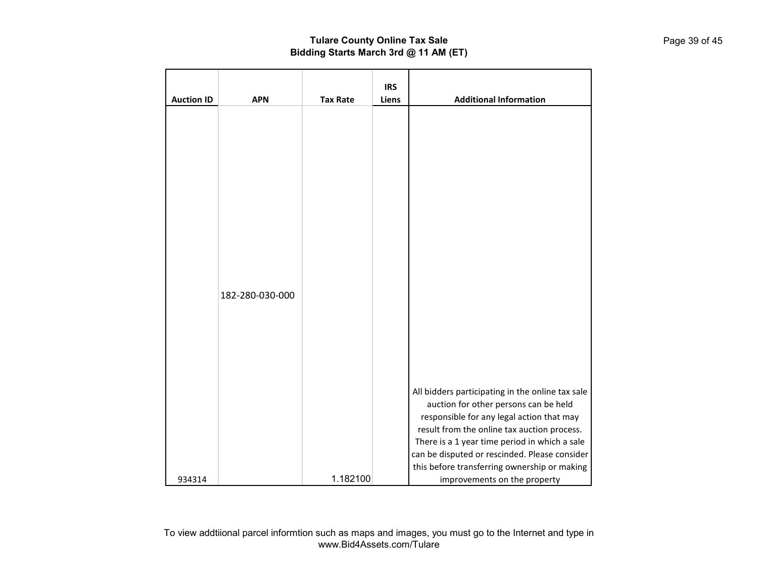| <b>Auction ID</b> | <b>APN</b>      | <b>Tax Rate</b> | <b>IRS</b><br>Liens | <b>Additional Information</b>                                                                                                                                                                                                                                                                                                                                           |
|-------------------|-----------------|-----------------|---------------------|-------------------------------------------------------------------------------------------------------------------------------------------------------------------------------------------------------------------------------------------------------------------------------------------------------------------------------------------------------------------------|
|                   | 182-280-030-000 |                 |                     |                                                                                                                                                                                                                                                                                                                                                                         |
| 934314            |                 | 1.182100        |                     | All bidders participating in the online tax sale<br>auction for other persons can be held<br>responsible for any legal action that may<br>result from the online tax auction process.<br>There is a 1 year time period in which a sale<br>can be disputed or rescinded. Please consider<br>this before transferring ownership or making<br>improvements on the property |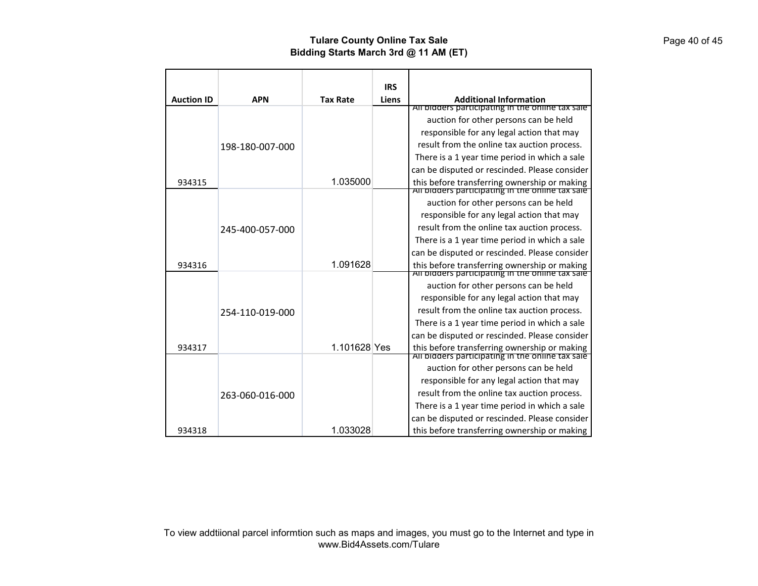|                   |                 |                 | <b>IRS</b> |                                                                                                  |
|-------------------|-----------------|-----------------|------------|--------------------------------------------------------------------------------------------------|
| <b>Auction ID</b> | <b>APN</b>      | <b>Tax Rate</b> | Liens      | <b>Additional Information</b>                                                                    |
|                   |                 |                 |            | All bidders participating in the online tax sale                                                 |
|                   |                 |                 |            | auction for other persons can be held                                                            |
|                   |                 |                 |            | responsible for any legal action that may                                                        |
|                   | 198-180-007-000 |                 |            | result from the online tax auction process.                                                      |
|                   |                 |                 |            | There is a 1 year time period in which a sale                                                    |
|                   |                 |                 |            | can be disputed or rescinded. Please consider                                                    |
| 934315            |                 | 1.035000        |            | this before transferring ownership or making<br>All bidders participating in the online tax sale |
|                   |                 |                 |            |                                                                                                  |
|                   |                 |                 |            | auction for other persons can be held                                                            |
|                   |                 |                 |            | responsible for any legal action that may                                                        |
|                   | 245-400-057-000 |                 |            | result from the online tax auction process.                                                      |
|                   |                 |                 |            | There is a 1 year time period in which a sale                                                    |
|                   |                 |                 |            | can be disputed or rescinded. Please consider                                                    |
| 934316            |                 | 1.091628        |            | this before transferring ownership or making<br>All bidders participating in the online tax sale |
|                   |                 |                 |            | auction for other persons can be held                                                            |
|                   |                 |                 |            | responsible for any legal action that may                                                        |
|                   | 254-110-019-000 |                 |            | result from the online tax auction process.                                                      |
|                   |                 |                 |            | There is a 1 year time period in which a sale                                                    |
|                   |                 |                 |            | can be disputed or rescinded. Please consider                                                    |
| 934317            |                 | 1.101628 Yes    |            | this before transferring ownership or making<br>All bidders participating in the online tax sale |
|                   |                 |                 |            | auction for other persons can be held                                                            |
|                   |                 |                 |            | responsible for any legal action that may                                                        |
|                   | 263-060-016-000 |                 |            | result from the online tax auction process.                                                      |
|                   |                 |                 |            | There is a 1 year time period in which a sale                                                    |
|                   |                 |                 |            | can be disputed or rescinded. Please consider                                                    |
| 934318            |                 | 1.033028        |            | this before transferring ownership or making                                                     |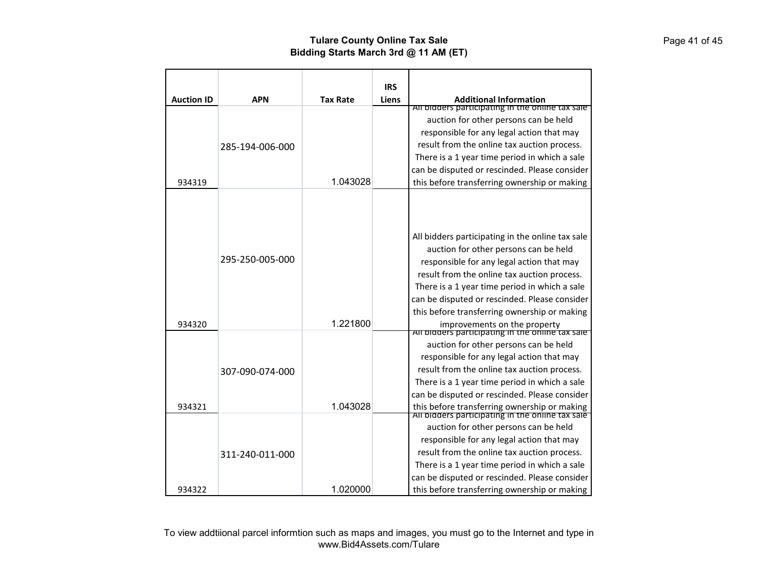|                   |                 |                 | <b>IRS</b> |                                                                                                                                                                                                                                                                                                                                         |
|-------------------|-----------------|-----------------|------------|-----------------------------------------------------------------------------------------------------------------------------------------------------------------------------------------------------------------------------------------------------------------------------------------------------------------------------------------|
| <b>Auction ID</b> | <b>APN</b>      | <b>Tax Rate</b> | Liens      | <b>Additional Information</b>                                                                                                                                                                                                                                                                                                           |
|                   |                 |                 |            | All bidders participating in the online tax sale                                                                                                                                                                                                                                                                                        |
|                   |                 |                 |            | auction for other persons can be held                                                                                                                                                                                                                                                                                                   |
|                   |                 |                 |            | responsible for any legal action that may                                                                                                                                                                                                                                                                                               |
|                   | 285-194-006-000 |                 |            | result from the online tax auction process.                                                                                                                                                                                                                                                                                             |
|                   |                 |                 |            | There is a 1 year time period in which a sale                                                                                                                                                                                                                                                                                           |
|                   |                 |                 |            | can be disputed or rescinded. Please consider                                                                                                                                                                                                                                                                                           |
| 934319            |                 | 1.043028        |            | this before transferring ownership or making                                                                                                                                                                                                                                                                                            |
|                   | 295-250-005-000 |                 |            | All bidders participating in the online tax sale<br>auction for other persons can be held<br>responsible for any legal action that may<br>result from the online tax auction process.<br>There is a 1 year time period in which a sale                                                                                                  |
| 934320            |                 | 1.221800        |            | can be disputed or rescinded. Please consider<br>this before transferring ownership or making<br>improvements on the property<br>All bidders participating in the online tax sale                                                                                                                                                       |
| 934321            | 307-090-074-000 | 1.043028        |            | auction for other persons can be held<br>responsible for any legal action that may<br>result from the online tax auction process.<br>There is a 1 year time period in which a sale<br>can be disputed or rescinded. Please consider<br>this before transferring ownership or making<br>All bidders participating in the online tax sale |
| 934322            | 311-240-011-000 | 1.020000        |            | auction for other persons can be held<br>responsible for any legal action that may<br>result from the online tax auction process.<br>There is a 1 year time period in which a sale<br>can be disputed or rescinded. Please consider<br>this before transferring ownership or making                                                     |

To view addtiional parcel informtion such as maps and images, you must go to the Internet and type in www.Bid4Assets.com/Tulare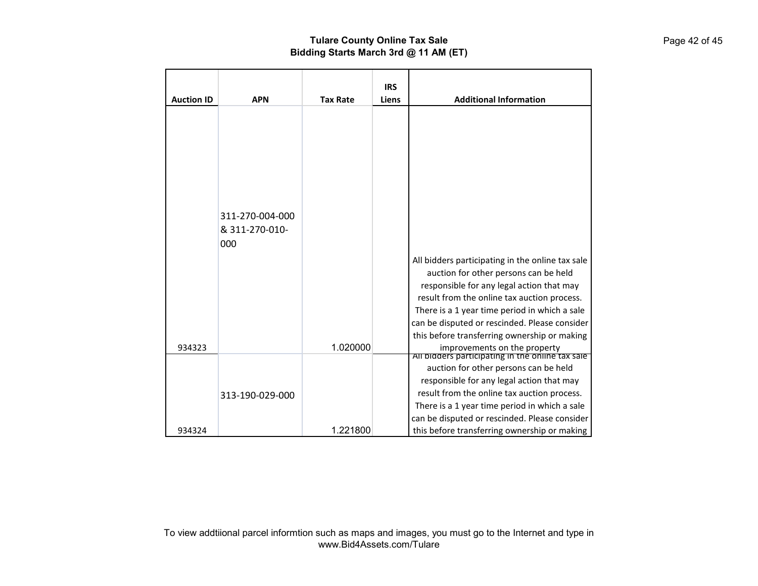| <b>Auction ID</b> | <b>APN</b>            | <b>Tax Rate</b> | <b>IRS</b><br>Liens | <b>Additional Information</b>                                                                                                                                                                                                                                                                                                           |
|-------------------|-----------------------|-----------------|---------------------|-----------------------------------------------------------------------------------------------------------------------------------------------------------------------------------------------------------------------------------------------------------------------------------------------------------------------------------------|
|                   | 311-270-004-000       |                 |                     |                                                                                                                                                                                                                                                                                                                                         |
|                   | & 311-270-010-<br>000 |                 |                     | All bidders participating in the online tax sale<br>auction for other persons can be held<br>responsible for any legal action that may<br>result from the online tax auction process.<br>There is a 1 year time period in which a sale<br>can be disputed or rescinded. Please consider<br>this before transferring ownership or making |
| 934323            |                       | 1.020000        |                     | improvements on the property<br>All bidders participating in the online tax sale<br>auction for other persons can be held<br>responsible for any legal action that may                                                                                                                                                                  |
| 934324            | 313-190-029-000       | 1.221800        |                     | result from the online tax auction process.<br>There is a 1 year time period in which a sale<br>can be disputed or rescinded. Please consider<br>this before transferring ownership or making                                                                                                                                           |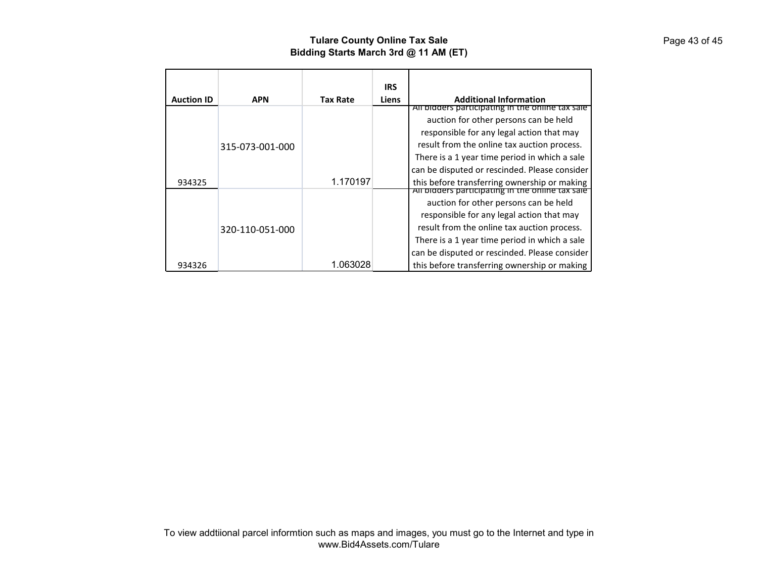|                   |                 |                 | <b>IRS</b>   |                                                                                                  |
|-------------------|-----------------|-----------------|--------------|--------------------------------------------------------------------------------------------------|
| <b>Auction ID</b> | <b>APN</b>      | <b>Tax Rate</b> | <b>Liens</b> | <b>Additional Information</b><br>All bidders participating in the online tax sale                |
|                   |                 |                 |              | auction for other persons can be held                                                            |
|                   |                 |                 |              | responsible for any legal action that may                                                        |
|                   | 315-073-001-000 |                 |              | result from the online tax auction process.                                                      |
|                   |                 |                 |              | There is a 1 year time period in which a sale                                                    |
|                   |                 |                 |              | can be disputed or rescinded. Please consider                                                    |
| 934325            |                 | 1.170197        |              | this before transferring ownership or making<br>All bidders participating in the online tax sale |
|                   |                 |                 |              | auction for other persons can be held                                                            |
|                   |                 |                 |              | responsible for any legal action that may                                                        |
|                   | 320-110-051-000 |                 |              | result from the online tax auction process.                                                      |
|                   |                 |                 |              | There is a 1 year time period in which a sale                                                    |
|                   |                 |                 |              | can be disputed or rescinded. Please consider                                                    |
| 934326            |                 | 1.063028        |              | this before transferring ownership or making                                                     |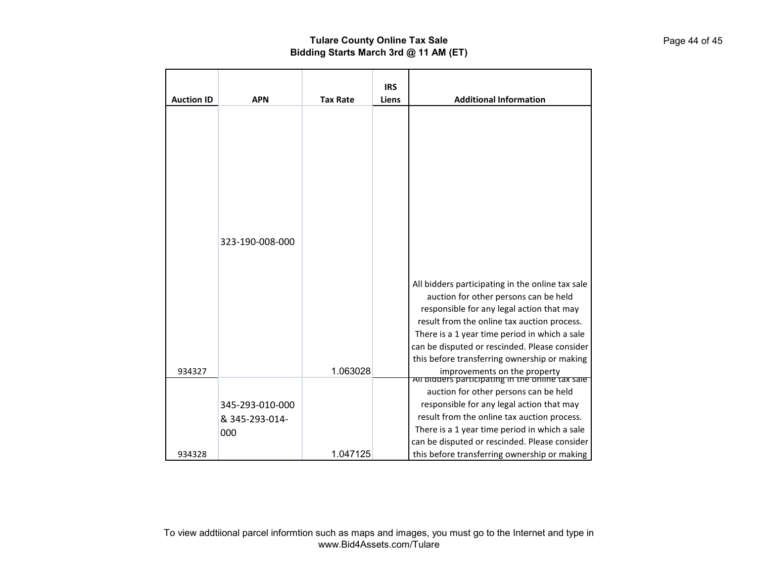| <b>Auction ID</b> | <b>APN</b>      | <b>Tax Rate</b> | <b>IRS</b><br>Liens | <b>Additional Information</b>                                                                                                    |
|-------------------|-----------------|-----------------|---------------------|----------------------------------------------------------------------------------------------------------------------------------|
|                   |                 |                 |                     |                                                                                                                                  |
|                   |                 |                 |                     |                                                                                                                                  |
|                   |                 |                 |                     |                                                                                                                                  |
|                   |                 |                 |                     |                                                                                                                                  |
|                   | 323-190-008-000 |                 |                     |                                                                                                                                  |
|                   |                 |                 |                     |                                                                                                                                  |
|                   |                 |                 |                     | All bidders participating in the online tax sale<br>auction for other persons can be held                                        |
|                   |                 |                 |                     | responsible for any legal action that may<br>result from the online tax auction process.                                         |
|                   |                 |                 |                     | There is a 1 year time period in which a sale<br>can be disputed or rescinded. Please consider                                   |
| 934327            |                 | 1.063028        |                     | this before transferring ownership or making<br>improvements on the property<br>All bidders participating in the online tax sale |
|                   |                 |                 |                     | auction for other persons can be held                                                                                            |
|                   | 345-293-010-000 |                 |                     | responsible for any legal action that may                                                                                        |
|                   | & 345-293-014-  |                 |                     | result from the online tax auction process.<br>There is a 1 year time period in which a sale                                     |
|                   | 000             |                 |                     | can be disputed or rescinded. Please consider                                                                                    |
| 934328            |                 | 1.047125        |                     | this before transferring ownership or making                                                                                     |